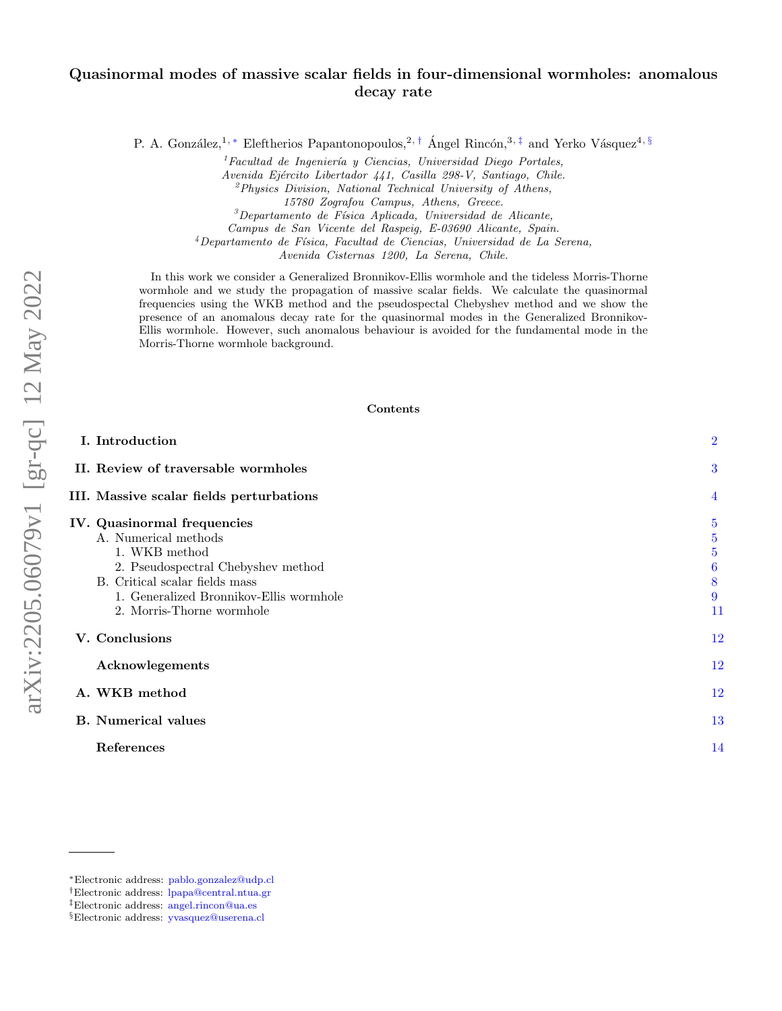# arXiv:2205.06079v1 [gr-qc] 12 May 2022 arXiv:2205.06079v1 [gr-qc] 12 May 2022

# Quasinormal modes of massive scalar fields in four-dimensional wormholes: anomalous decay rate

P. A. González,<sup>1, [∗](#page-0-0)</sup> Eleftherios Papantonopoulos,<sup>2,[†](#page-0-1)</sup> Ángel Rincón,<sup>3,[‡](#page-0-2)</sup> and Yerko Vásquez<sup>4, [§](#page-0-3)</sup>

 ${}^{1}$ Facultad de Ingeniería y Ciencias, Universidad Diego Portales, Avenida Ejército Libertador 441, Casilla 298-V, Santiago, Chile.  ${}^{2}Physics$  Division, National Technical University of Athens, 15780 Zografou Campus, Athens, Greece.  ${}^{3}$ Departamento de Física Aplicada, Universidad de Alicante, Campus de San Vicente del Raspeig, E-03690 Alicante, Spain.  $4$ Departamento de Física, Facultad de Ciencias, Universidad de La Serena, Avenida Cisternas 1200, La Serena, Chile.

In this work we consider a Generalized Bronnikov-Ellis wormhole and the tideless Morris-Thorne wormhole and we study the propagation of massive scalar fields. We calculate the quasinormal frequencies using the WKB method and the pseudospectal Chebyshev method and we show the presence of an anomalous decay rate for the quasinormal modes in the Generalized Bronnikov-Ellis wormhole. However, such anomalous behaviour is avoided for the fundamental mode in the Morris-Thorne wormhole background.

### Contents

| I. Introduction                                                                                                                                                                                                      | $\overline{2}$                                                          |
|----------------------------------------------------------------------------------------------------------------------------------------------------------------------------------------------------------------------|-------------------------------------------------------------------------|
| II. Review of traversable wormholes                                                                                                                                                                                  | 3                                                                       |
| III. Massive scalar fields perturbations                                                                                                                                                                             | $\overline{4}$                                                          |
| IV. Quasinormal frequencies<br>A. Numerical methods<br>1. WKB method<br>2. Pseudospectral Chebyshev method<br>B. Critical scalar fields mass<br>1. Generalized Bronnikov-Ellis wormhole<br>2. Morris-Thorne wormhole | $\overline{5}$<br>$\overline{5}$<br>$\overline{5}$<br>6<br>8<br>9<br>11 |
| V. Conclusions                                                                                                                                                                                                       | 12                                                                      |
| Acknowlegements                                                                                                                                                                                                      | 12                                                                      |
| A. WKB method                                                                                                                                                                                                        | 12                                                                      |
| <b>B.</b> Numerical values                                                                                                                                                                                           | 13                                                                      |
| References                                                                                                                                                                                                           | 14                                                                      |

<span id="page-0-0"></span><sup>∗</sup>Electronic address: [pablo.gonzalez@udp.cl](mailto:pablo.gonzalez@udp.cl)

<span id="page-0-1"></span><sup>†</sup>Electronic address: [lpapa@central.ntua.gr](mailto:lpapa@central.ntua.gr)

<span id="page-0-2"></span><sup>‡</sup>Electronic address: [angel.rincon@ua.es](mailto:angel.rincon@ua.es)

<span id="page-0-3"></span><sup>§</sup>Electronic address: [yvasquez@userena.cl](mailto:yvasquez@userena.cl)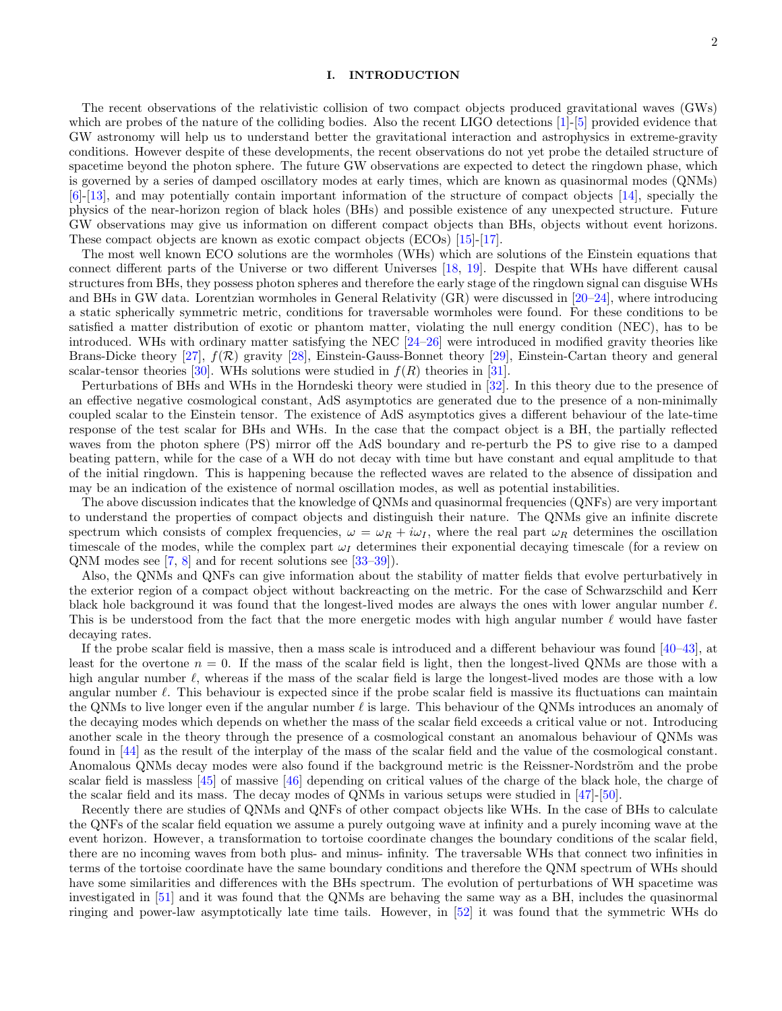### <span id="page-1-0"></span>I. INTRODUCTION

The recent observations of the relativistic collision of two compact objects produced gravitational waves (GWs) which are probes of the nature of the colliding bodies. Also the recent LIGO detections [\[1\]](#page-13-1)-[\[5\]](#page-13-2) provided evidence that GW astronomy will help us to understand better the gravitational interaction and astrophysics in extreme-gravity conditions. However despite of these developments, the recent observations do not yet probe the detailed structure of spacetime beyond the photon sphere. The future GW observations are expected to detect the ringdown phase, which is governed by a series of damped oscillatory modes at early times, which are known as quasinormal modes (QNMs) [\[6\]](#page-13-3)-[\[13\]](#page-13-4), and may potentially contain important information of the structure of compact objects [\[14\]](#page-14-0), specially the physics of the near-horizon region of black holes (BHs) and possible existence of any unexpected structure. Future GW observations may give us information on different compact objects than BHs, objects without event horizons. These compact objects are known as exotic compact objects (ECOs) [\[15\]](#page-13-5)-[\[17\]](#page-13-6).

The most well known ECO solutions are the wormholes (WHs) which are solutions of the Einstein equations that connect different parts of the Universe or two different Universes [\[18,](#page-14-1) [19\]](#page-14-2). Despite that WHs have different causal structures from BHs, they possess photon spheres and therefore the early stage of the ringdown signal can disguise WHs and BHs in GW data. Lorentzian wormholes in General Relativity (GR) were discussed in [\[20–](#page-14-3)[24\]](#page-14-4), where introducing a static spherically symmetric metric, conditions for traversable wormholes were found. For these conditions to be satisfied a matter distribution of exotic or phantom matter, violating the null energy condition (NEC), has to be introduced. WHs with ordinary matter satisfying the NEC [\[24–](#page-14-4)[26\]](#page-14-5) were introduced in modified gravity theories like Brans-Dicke theory [\[27\]](#page-14-6),  $f(\mathcal{R})$  gravity [\[28\]](#page-15-0), Einstein-Gauss-Bonnet theory [\[29\]](#page-15-1), Einstein-Cartan theory and general scalar-tensor theories [\[30\]](#page-15-2). WHs solutions were studied in  $f(R)$  theories in [\[31\]](#page-15-3).

Perturbations of BHs and WHs in the Horndeski theory were studied in [\[32\]](#page-15-4). In this theory due to the presence of an effective negative cosmological constant, AdS asymptotics are generated due to the presence of a non-minimally coupled scalar to the Einstein tensor. The existence of AdS asymptotics gives a different behaviour of the late-time response of the test scalar for BHs and WHs. In the case that the compact object is a BH, the partially reflected waves from the photon sphere (PS) mirror off the AdS boundary and re-perturb the PS to give rise to a damped beating pattern, while for the case of a WH do not decay with time but have constant and equal amplitude to that of the initial ringdown. This is happening because the reflected waves are related to the absence of dissipation and may be an indication of the existence of normal oscillation modes, as well as potential instabilities.

The above discussion indicates that the knowledge of QNMs and quasinormal frequencies (QNFs) are very important to understand the properties of compact objects and distinguish their nature. The QNMs give an infinite discrete spectrum which consists of complex frequencies,  $\omega = \omega_R + i\omega_I$ , where the real part  $\omega_R$  determines the oscillation timescale of the modes, while the complex part  $\omega_I$  determines their exponential decaying timescale (for a review on QNM modes see [\[7,](#page-13-7) [8\]](#page-13-8) and for recent solutions see [\[33–](#page-15-5)[39\]](#page-15-6)).

Also, the QNMs and QNFs can give information about the stability of matter fields that evolve perturbatively in the exterior region of a compact object without backreacting on the metric. For the case of Schwarzschild and Kerr black hole background it was found that the longest-lived modes are always the ones with lower angular number  $\ell$ . This is be understood from the fact that the more energetic modes with high angular number  $\ell$  would have faster decaying rates.

If the probe scalar field is massive, then a mass scale is introduced and a different behaviour was found [\[40](#page-15-7)[–43\]](#page-15-8), at least for the overtone  $n = 0$ . If the mass of the scalar field is light, then the longest-lived QNMs are those with a high angular number  $\ell$ , whereas if the mass of the scalar field is large the longest-lived modes are those with a low angular number  $\ell$ . This behaviour is expected since if the probe scalar field is massive its fluctuations can maintain the QNMs to live longer even if the angular number  $\ell$  is large. This behaviour of the QNMs introduces an anomaly of the decaying modes which depends on whether the mass of the scalar field exceeds a critical value or not. Introducing another scale in the theory through the presence of a cosmological constant an anomalous behaviour of QNMs was found in [\[44\]](#page-15-9) as the result of the interplay of the mass of the scalar field and the value of the cosmological constant. Anomalous QNMs decay modes were also found if the background metric is the Reissner-Nordström and the probe scalar field is massless [\[45\]](#page-15-10) of massive [\[46\]](#page-15-11) depending on critical values of the charge of the black hole, the charge of the scalar field and its mass. The decay modes of QNMs in various setups were studied in [\[47\]](#page-15-12)-[\[50\]](#page-15-13).

Recently there are studies of QNMs and QNFs of other compact objects like WHs. In the case of BHs to calculate the QNFs of the scalar field equation we assume a purely outgoing wave at infinity and a purely incoming wave at the event horizon. However, a transformation to tortoise coordinate changes the boundary conditions of the scalar field, there are no incoming waves from both plus- and minus- infinity. The traversable WHs that connect two infinities in terms of the tortoise coordinate have the same boundary conditions and therefore the QNM spectrum of WHs should have some similarities and differences with the BHs spectrum. The evolution of perturbations of WH spacetime was investigated in [\[51\]](#page-15-14) and it was found that the QNMs are behaving the same way as a BH, includes the quasinormal ringing and power-law asymptotically late time tails. However, in [\[52\]](#page-15-15) it was found that the symmetric WHs do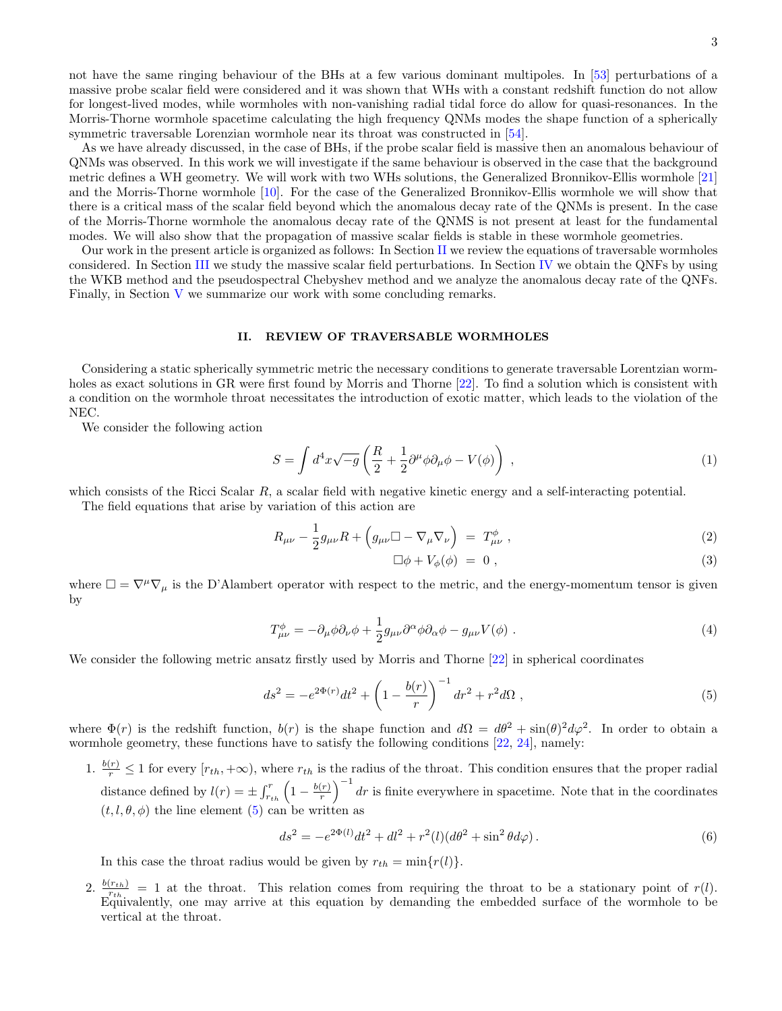As we have already discussed, in the case of BHs, if the probe scalar field is massive then an anomalous behaviour of QNMs was observed. In this work we will investigate if the same behaviour is observed in the case that the background metric defines a WH geometry. We will work with two WHs solutions, the Generalized Bronnikov-Ellis wormhole [\[21\]](#page-14-7) and the Morris-Thorne wormhole [\[10\]](#page-13-9). For the case of the Generalized Bronnikov-Ellis wormhole we will show that there is a critical mass of the scalar field beyond which the anomalous decay rate of the QNMs is present. In the case of the Morris-Thorne wormhole the anomalous decay rate of the QNMS is not present at least for the fundamental modes. We will also show that the propagation of massive scalar fields is stable in these wormhole geometries.

Our work in the present article is organized as follows: In Section [II](#page-2-0) we review the equations of traversable wormholes considered. In Section [III](#page-3-0) we study the massive scalar field perturbations. In Section [IV](#page-4-0) we obtain the QNFs by using the WKB method and the pseudospectral Chebyshev method and we analyze the anomalous decay rate of the QNFs. Finally, in Section [V](#page-11-0) we summarize our work with some concluding remarks.

### <span id="page-2-0"></span>II. REVIEW OF TRAVERSABLE WORMHOLES

Considering a static spherically symmetric metric the necessary conditions to generate traversable Lorentzian worm-holes as exact solutions in GR were first found by Morris and Thorne [\[22\]](#page-14-8). To find a solution which is consistent with a condition on the wormhole throat necessitates the introduction of exotic matter, which leads to the violation of the NEC.

We consider the following action

$$
S = \int d^4x \sqrt{-g} \left( \frac{R}{2} + \frac{1}{2} \partial^{\mu} \phi \partial_{\mu} \phi - V(\phi) \right) , \qquad (1)
$$

which consists of the Ricci Scalar  $R$ , a scalar field with negative kinetic energy and a self-interacting potential.

The field equations that arise by variation of this action are

$$
R_{\mu\nu} - \frac{1}{2}g_{\mu\nu}R + \left(g_{\mu\nu}\Box - \nabla_{\mu}\nabla_{\nu}\right) = T^{\phi}_{\mu\nu} , \qquad (2)
$$

$$
\Box \phi + V_{\phi}(\phi) = 0 , \qquad (3)
$$

where  $\Box = \nabla^{\mu} \nabla_{\mu}$  is the D'Alambert operator with respect to the metric, and the energy-momentum tensor is given by

$$
T^{\phi}_{\mu\nu} = -\partial_{\mu}\phi\partial_{\nu}\phi + \frac{1}{2}g_{\mu\nu}\partial^{\alpha}\phi\partial_{\alpha}\phi - g_{\mu\nu}V(\phi) . \tag{4}
$$

We consider the following metric ansatz firstly used by Morris and Thorne [\[22\]](#page-14-8) in spherical coordinates

<span id="page-2-1"></span>
$$
ds^{2} = -e^{2\Phi(r)}dt^{2} + \left(1 - \frac{b(r)}{r}\right)^{-1}dr^{2} + r^{2}d\Omega , \qquad (5)
$$

where  $\Phi(r)$  is the redshift function,  $b(r)$  is the shape function and  $d\Omega = d\theta^2 + \sin(\theta)^2 d\varphi^2$ . In order to obtain a wormhole geometry, these functions have to satisfy the following conditions [\[22,](#page-14-8) [24\]](#page-14-4), namely:

1.  $\frac{b(r)}{r} \leq 1$  for every  $[r_{th}, +\infty)$ , where  $r_{th}$  is the radius of the throat. This condition ensures that the proper radial distance defined by  $l(r) = \pm \int_{r_{th}}^{r} \left(1 - \frac{b(r)}{r}\right)$  $\left(\frac{r}{r}\right)^{-1}$  dr is finite everywhere in spacetime. Note that in the coordinates  $(t, l, \theta, \phi)$  the line element [\(5\)](#page-2-1) can be written as

$$
ds^{2} = -e^{2\Phi(l)}dt^{2} + dl^{2} + r^{2}(l)(d\theta^{2} + \sin^{2}\theta d\varphi).
$$
\n(6)

In this case the throat radius would be given by  $r_{th} = \min\{r(l)\}.$ 

2.  $\frac{b(r_{th})}{r_{th}} = 1$  at the throat. This relation comes from requiring the throat to be a stationary point of  $r(l)$ . Equivalently, one may arrive at this equation by demanding the embedded surface of the wormhole to be vertical at the throat.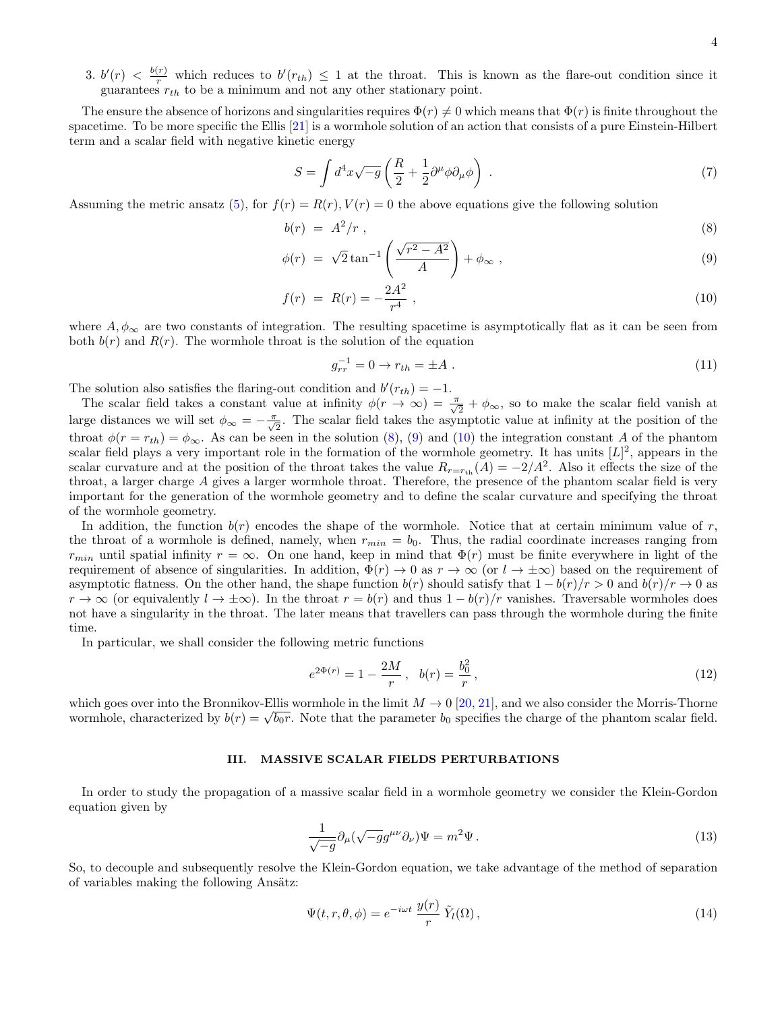3.  $b'(r) < \frac{b(r)}{r}$  which reduces to  $b'(r_{th}) \leq 1$  at the throat. This is known as the flare-out condition since it guarantees  $r_{th}$  to be a minimum and not any other stationary point.

The ensure the absence of horizons and singularities requires  $\Phi(r) \neq 0$  which means that  $\Phi(r)$  is finite throughout the spacetime. To be more specific the Ellis [\[21\]](#page-14-7) is a wormhole solution of an action that consists of a pure Einstein-Hilbert term and a scalar field with negative kinetic energy

$$
S = \int d^4x \sqrt{-g} \left( \frac{R}{2} + \frac{1}{2} \partial^\mu \phi \partial_\mu \phi \right) . \tag{7}
$$

Assuming the metric ansatz [\(5\)](#page-2-1), for  $f(r) = R(r)$ ,  $V(r) = 0$  the above equations give the following solution

<span id="page-3-1"></span>
$$
b(r) = A^2/r , \qquad (8)
$$

$$
\phi(r) = \sqrt{2} \tan^{-1} \left( \frac{\sqrt{r^2 - A^2}}{A} \right) + \phi_{\infty} , \qquad (9)
$$

$$
f(r) = R(r) = -\frac{2A^2}{r^4} \t\t(10)
$$

where  $A, \phi_{\infty}$  are two constants of integration. The resulting spacetime is asymptotically flat as it can be seen from both  $b(r)$  and  $R(r)$ . The wormhole throat is the solution of the equation

$$
g_{rr}^{-1} = 0 \to r_{th} = \pm A \tag{11}
$$

The solution also satisfies the flaring-out condition and  $b'(r_{th}) = -1$ .

The scalar field takes a constant value at infinity  $\phi(r \to \infty) = \frac{\pi}{\sqrt{2}} + \phi_{\infty}$ , so to make the scalar field vanish at large distances we will set  $\phi_{\infty} = -\frac{\pi}{\sqrt{2}}$ . The scalar field takes the asymptotic value at infinity at the position of the throat  $\phi(r = r_{th}) = \phi_{\infty}$ . As can be seen in the solution [\(8\)](#page-3-1), [\(9\)](#page-3-1) and [\(10\)](#page-3-1) the integration constant A of the phantom scalar field plays a very important role in the formation of the wormhole geometry. It has units  $[L]^2$ , appears in the scalar curvature and at the position of the throat takes the value  $R_{r=r_{\text{th}}}(A) = -2/A^2$ . Also it effects the size of the throat, a larger charge A gives a larger wormhole throat. Therefore, the presence of the phantom scalar field is very important for the generation of the wormhole geometry and to define the scalar curvature and specifying the throat of the wormhole geometry.

In addition, the function  $b(r)$  encodes the shape of the wormhole. Notice that at certain minimum value of r, the throat of a wormhole is defined, namely, when  $r_{min} = b_0$ . Thus, the radial coordinate increases ranging from  $r_{min}$  until spatial infinity  $r = \infty$ . On one hand, keep in mind that  $\Phi(r)$  must be finite everywhere in light of the requirement of absence of singularities. In addition,  $\Phi(r) \to 0$  as  $r \to \infty$  (or  $l \to \pm \infty$ ) based on the requirement of asymptotic flatness. On the other hand, the shape function  $b(r)$  should satisfy that  $1 - b(r)/r > 0$  and  $b(r)/r \rightarrow 0$  as  $r \to \infty$  (or equivalently  $l \to \pm \infty$ ). In the throat  $r = b(r)$  and thus  $1 - b(r)/r$  vanishes. Traversable wormholes does not have a singularity in the throat. The later means that travellers can pass through the wormhole during the finite time.

In particular, we shall consider the following metric functions

$$
e^{2\Phi(r)} = 1 - \frac{2M}{r}, \quad b(r) = \frac{b_0^2}{r},\tag{12}
$$

which goes over into the Bronnikov-Ellis wormhole in the limit  $M \to 0$  [\[20,](#page-14-3) [21\]](#page-14-7), and we also consider the Morris-Thorne which goes over into the Bronnikov-Ellis wormhole in the limit  $M \to 0$  [20, 21], and we also consider the Morris-Thorne<br>wormhole, characterized by  $b(r) = \sqrt{b_0 r}$ . Note that the parameter  $b_0$  specifies the charge of the

### <span id="page-3-0"></span>III. MASSIVE SCALAR FIELDS PERTURBATIONS

In order to study the propagation of a massive scalar field in a wormhole geometry we consider the Klein-Gordon equation given by

$$
\frac{1}{\sqrt{-g}}\partial_{\mu}(\sqrt{-g}g^{\mu\nu}\partial_{\nu})\Psi = m^2\Psi.
$$
\n(13)

So, to decouple and subsequently resolve the Klein-Gordon equation, we take advantage of the method of separation of variables making the following Ansätz:

$$
\Psi(t,r,\theta,\phi) = e^{-i\omega t} \frac{y(r)}{r} \tilde{Y}_l(\Omega),\tag{14}
$$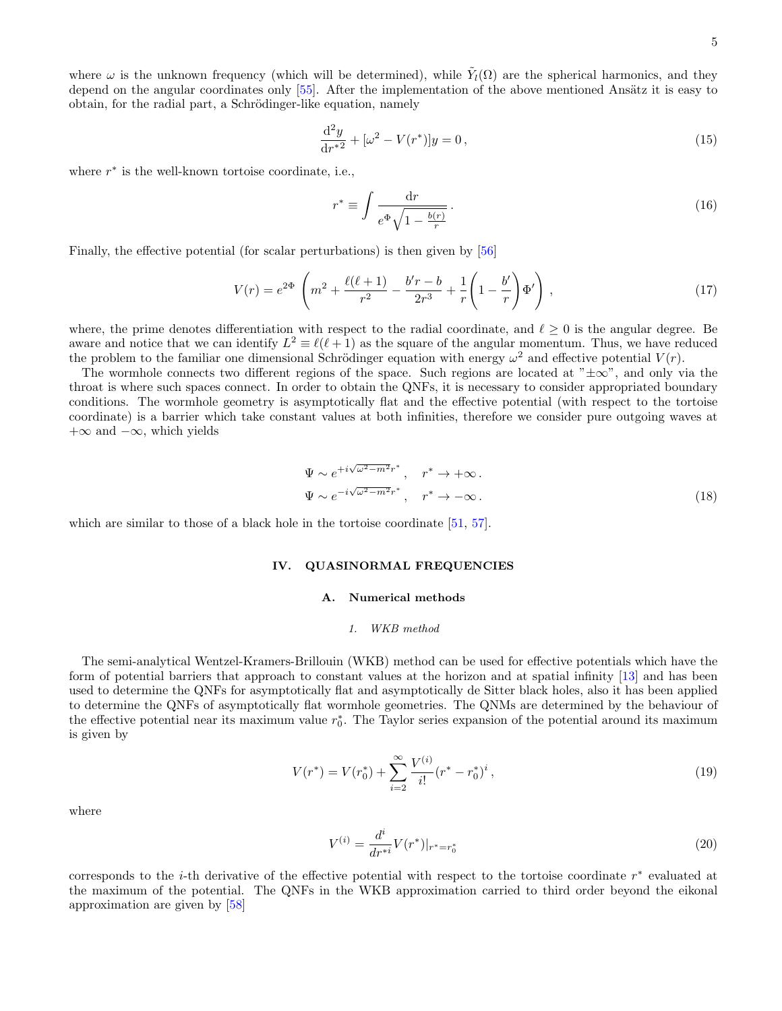where  $\omega$  is the unknown frequency (which will be determined), while  $\tilde{Y}_l(\Omega)$  are the spherical harmonics, and they depend on the angular coordinates only  $[55]$ . After the implementation of the above mentioned Ansätz it is easy to obtain, for the radial part, a Schrödinger-like equation, namely

<span id="page-4-3"></span>
$$
\frac{\mathrm{d}^2 y}{\mathrm{d}r^{*2}} + [\omega^2 - V(r^*)]y = 0,\tag{15}
$$

where  $r^*$  is the well-known tortoise coordinate, i.e.,

$$
r^* \equiv \int \frac{\mathrm{d}r}{e^{\Phi}\sqrt{1 - \frac{b(r)}{r}}} \,. \tag{16}
$$

Finally, the effective potential (for scalar perturbations) is then given by [\[56\]](#page-15-19)

<span id="page-4-4"></span>
$$
V(r) = e^{2\Phi} \left( m^2 + \frac{\ell(\ell+1)}{r^2} - \frac{b'r - b}{2r^3} + \frac{1}{r} \left( 1 - \frac{b'}{r} \right) \Phi' \right),\tag{17}
$$

where, the prime denotes differentiation with respect to the radial coordinate, and  $\ell \geq 0$  is the angular degree. Be aware and notice that we can identify  $L^2 \equiv \ell(\ell+1)$  as the square of the angular momentum. Thus, we have reduced the problem to the familiar one dimensional Schrödinger equation with energy  $\omega^2$  and effective potential  $V(r)$ .

The wormhole connects two different regions of the space. Such regions are located at " $\pm \infty$ ", and only via the throat is where such spaces connect. In order to obtain the QNFs, it is necessary to consider appropriated boundary conditions. The wormhole geometry is asymptotically flat and the effective potential (with respect to the tortoise coordinate) is a barrier which take constant values at both infinities, therefore we consider pure outgoing waves at  $+\infty$  and  $-\infty$ , which yields

$$
\Psi \sim e^{+i\sqrt{\omega^2 - m^2}r^*}, \quad r^* \to +\infty.
$$
  
\n
$$
\Psi \sim e^{-i\sqrt{\omega^2 - m^2}r^*}, \quad r^* \to -\infty.
$$
\n(18)

which are similar to those of a black hole in the tortoise coordinate [\[51,](#page-15-14) [57\]](#page-15-20).

### <span id="page-4-0"></span>IV. QUASINORMAL FREQUENCIES

### <span id="page-4-1"></span>A. Numerical methods

### <span id="page-4-2"></span>1. WKB method

The semi-analytical Wentzel-Kramers-Brillouin (WKB) method can be used for effective potentials which have the form of potential barriers that approach to constant values at the horizon and at spatial infinity [\[13\]](#page-13-4) and has been used to determine the QNFs for asymptotically flat and asymptotically de Sitter black holes, also it has been applied to determine the QNFs of asymptotically flat wormhole geometries. The QNMs are determined by the behaviour of the effective potential near its maximum value  $r_0^*$ . The Taylor series expansion of the potential around its maximum is given by

$$
V(r^*) = V(r_0^*) + \sum_{i=2}^{\infty} \frac{V^{(i)}}{i!} (r^* - r_0^*)^i,
$$
\n(19)

where

$$
V^{(i)} = \frac{d^i}{dr^{*i}} V(r^*)|_{r^* = r_0^*}
$$
\n(20)

corresponds to the *i*-th derivative of the effective potential with respect to the tortoise coordinate  $r^*$  evaluated at the maximum of the potential. The QNFs in the WKB approximation carried to third order beyond the eikonal approximation are given by [\[58\]](#page-16-0)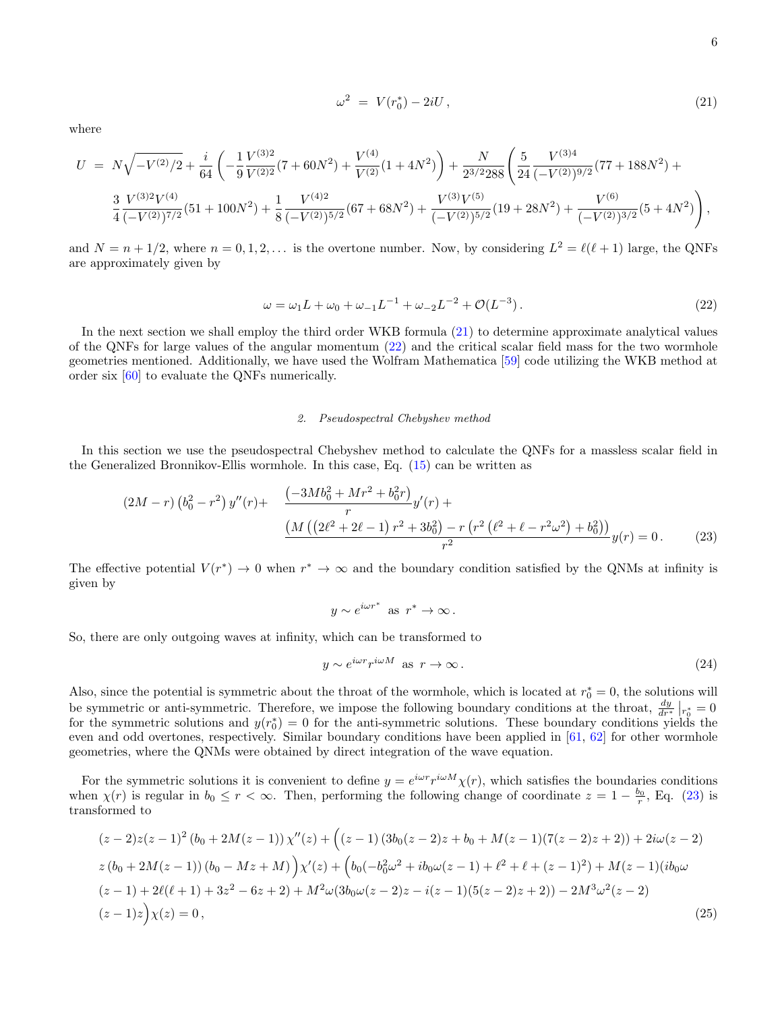<span id="page-5-1"></span>
$$
\omega^2 = V(r_0^*) - 2iU , \qquad (21)
$$

where

<span id="page-5-2"></span>
$$
U = N\sqrt{-V^{(2)}/2} + \frac{i}{64}\left(-\frac{1}{9}\frac{V^{(3)2}}{V^{(2)2}}(7+60N^2) + \frac{V^{(4)}}{V^{(2)}}(1+4N^2)\right) + \frac{N}{2^{3/2}288}\left(\frac{5}{24}\frac{V^{(3)4}}{(-V^{(2)})^{9/2}}(77+188N^2) + \frac{3}{4}\frac{V^{(3)2}V^{(4)}}{(-V^{(2)})^{7/2}}(51+100N^2) + \frac{1}{8}\frac{V^{(4)2}}{(-V^{(2)})^{5/2}}(67+68N^2) + \frac{V^{(3)}V^{(5)}}{(-V^{(2)})^{5/2}}(19+28N^2) + \frac{V^{(6)}}{(-V^{(2)})^{3/2}}(5+4N^2)\right),
$$

and  $N = n + 1/2$ , where  $n = 0, 1, 2, \ldots$  is the overtone number. Now, by considering  $L^2 = \ell(\ell + 1)$  large, the QNFs are approximately given by

$$
\omega = \omega_1 L + \omega_0 + \omega_{-1} L^{-1} + \omega_{-2} L^{-2} + \mathcal{O}(L^{-3}).
$$
\n(22)

In the next section we shall employ the third order WKB formula [\(21\)](#page-5-1) to determine approximate analytical values of the QNFs for large values of the angular momentum [\(22\)](#page-5-2) and the critical scalar field mass for the two wormhole geometries mentioned. Additionally, we have used the Wolfram Mathematica [\[59\]](#page-16-1) code utilizing the WKB method at order six [\[60\]](#page-16-2) to evaluate the QNFs numerically.

### <span id="page-5-0"></span>2. Pseudospectral Chebyshev method

In this section we use the pseudospectral Chebyshev method to calculate the QNFs for a massless scalar field in the Generalized Bronnikov-Ellis wormhole. In this case, Eq. [\(15\)](#page-4-3) can be written as

<span id="page-5-3"></span>
$$
(2M - r) (b_0^2 - r^2) y''(r) + \frac{-3Mb_0^2 + Mr^2 + b_0^2 r}{r} y'(r) + \frac{M((2\ell^2 + 2\ell - 1) r^2 + 3b_0^2) - r (r^2 (\ell^2 + \ell - r^2 \omega^2) + b_0^2))}{r^2} y(r) = 0.
$$
 (23)

The effective potential  $V(r^*) \to 0$  when  $r^* \to \infty$  and the boundary condition satisfied by the QNMs at infinity is given by

$$
y \sim e^{i\omega r^*}
$$
 as  $r^* \to \infty$ .

So, there are only outgoing waves at infinity, which can be transformed to

$$
y \sim e^{i\omega r} r^{i\omega M} \text{ as } r \to \infty.
$$
 (24)

Also, since the potential is symmetric about the throat of the wormhole, which is located at  $r_0^* = 0$ , the solutions will be symmetric or anti-symmetric. Therefore, we impose the following boundary conditions at the throat,  $\frac{dy}{dr^*}\Big|_{r^*_{\phi}}=0$ for the symmetric solutions and  $y(r_0^*) = 0$  for the anti-symmetric solutions. These boundary conditions yields the even and odd overtones, respectively. Similar boundary conditions have been applied in  $[61, 62]$  $[61, 62]$  $[61, 62]$  for other wormhole geometries, where the QNMs were obtained by direct integration of the wave equation.

For the symmetric solutions it is convenient to define  $y = e^{i\omega r} r^{i\omega M} \chi(r)$ , which satisfies the boundaries conditions when  $\chi(r)$  is regular in  $b_0 \leq r < \infty$ . Then, performing the following change of coordinate  $z = 1 - \frac{b_0}{r}$ , Eq. [\(23\)](#page-5-3) is transformed to

$$
(z-2)z(z-1)^2(b_0+2M(z-1))\chi''(z) + ((z-1)(3b_0(z-2)z+b_0+M(z-1)(7(z-2)z+2)) + 2i\omega(z-2))
$$
  
\n
$$
z(b_0+2M(z-1))(b_0-Mz+M)\chi'(z) + (b_0(-b_0^2\omega^2+ib_0\omega(z-1)+\ell^2+\ell+(z-1)^2) + M(z-1)(ib_0\omega(z-1)+2\ell(\ell+1)+3z^2-6z+2) + M^2\omega(3b_0\omega(z-2)z-i(z-1)(5(z-2)z+2)) - 2M^3\omega^2(z-2)
$$
  
\n
$$
(z-1)z)\chi(z) = 0,
$$
\n(25)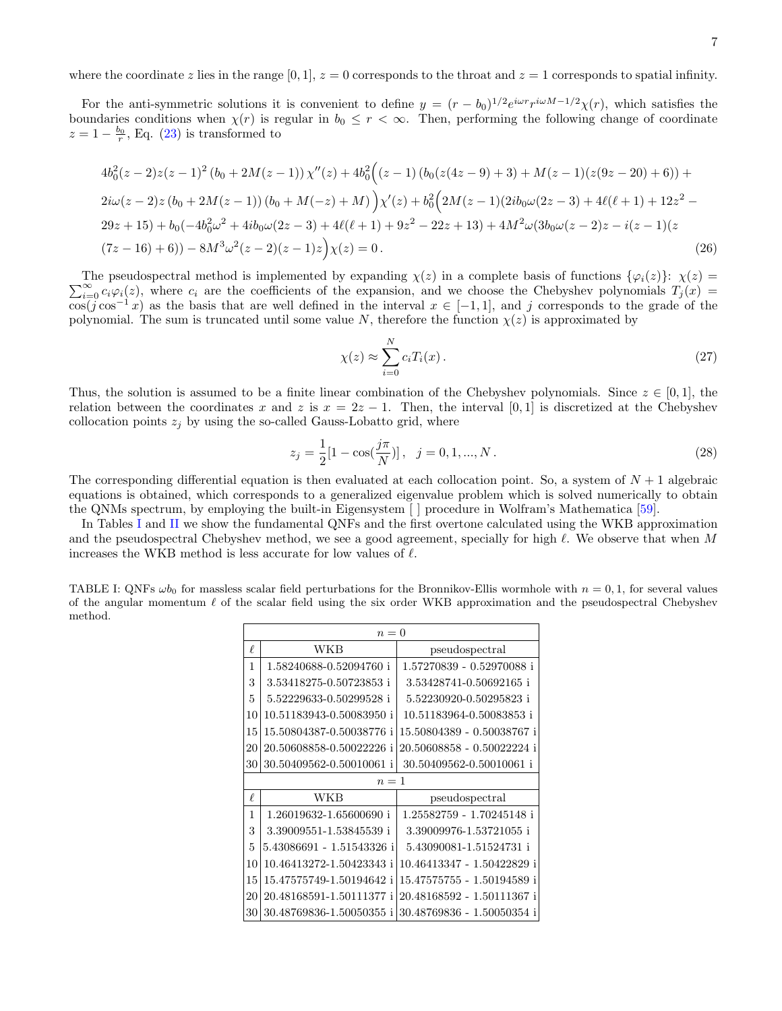where the coordinate z lies in the range  $[0, 1]$ ,  $z = 0$  corresponds to the throat and  $z = 1$  corresponds to spatial infinity.

For the anti-symmetric solutions it is convenient to define  $y = (r - b_0)^{1/2} e^{i\omega r} r^{i\omega M - 1/2} \chi(r)$ , which satisfies the boundaries conditions when  $\chi(r)$  is regular in  $b_0 \leq r < \infty$ . Then, performing the following change of coordinate  $z = 1 - \frac{b_0}{r}$ , Eq. [\(23\)](#page-5-3) is transformed to

$$
4b_0^2(z-2)z(z-1)^2(b_0+2M(z-1))\chi''(z)+4b_0^2((z-1)(b_0(z(4z-9)+3)+M(z-1)(z(9z-20)+6))+
$$
  
\n
$$
2i\omega(z-2)z(b_0+2M(z-1))(b_0+M(-z)+M)\chi'(z)+b_0^2(2M(z-1)(2ib_0\omega(2z-3)+4\ell(\ell+1)+12z^2-
$$
  
\n
$$
29z+15)+b_0(-4b_0^2\omega^2+4ib_0\omega(2z-3)+4\ell(\ell+1)+9z^2-22z+13)+4M^2\omega(3b_0\omega(z-2)z-i(z-1)(z-1)(z-1)(z-1)(z-1))
$$
  
\n
$$
(7z-16)+6))-8M^3\omega^2(z-2)(z-1)z\chi(z)=0.
$$
\n(26)

 $\sum_{i=0}^{\infty} c_i \varphi_i(z)$ , where  $c_i$  are the coefficients of the expansion, and we choose the Chebyshev polynomials  $T_j(x)$ The pseudospectral method is implemented by expanding  $\chi(z)$  in a complete basis of functions  $\{\varphi_i(z)\}\colon \chi(z) =$  $\overline{\cos(j \cos^{-1} x)}$  as the basis that are well defined in the interval  $x \in [-1,1]$ , and j corresponds to the grade of the polynomial. The sum is truncated until some value N, therefore the function  $\chi(z)$  is approximated by

$$
\chi(z) \approx \sum_{i=0}^{N} c_i T_i(x). \tag{27}
$$

Thus, the solution is assumed to be a finite linear combination of the Chebyshev polynomials. Since  $z \in [0,1]$ , the relation between the coordinates x and z is  $x = 2z - 1$ . Then, the interval [0,1] is discretized at the Chebyshev collocation points  $z_i$  by using the so-called Gauss-Lobatto grid, where

$$
z_j = \frac{1}{2} [1 - \cos(\frac{j\pi}{N})], \quad j = 0, 1, ..., N.
$$
 (28)

The corresponding differential equation is then evaluated at each collocation point. So, a system of  $N+1$  algebraic equations is obtained, which corresponds to a generalized eigenvalue problem which is solved numerically to obtain the QNMs spectrum, by employing the built-in Eigensystem [ ] procedure in Wolfram's Mathematica [\[59\]](#page-16-1).

In Tables [I](#page-6-0) and [II](#page-7-1) we show the fundamental QNFs and the first overtone calculated using the WKB approximation and the pseudospectral Chebyshev method, we see a good agreement, specially for high  $\ell$ . We observe that when M increases the WKB method is less accurate for low values of  $\ell$ .

<span id="page-6-0"></span>

| TABLE I: QNFs $\omega b_0$ for massless scalar field perturbations for the Bronnikov-Ellis wormhole with $n = 0, 1$ , for several values |
|------------------------------------------------------------------------------------------------------------------------------------------|
| of the angular momentum $\ell$ of the scalar field using the six order WKB approximation and the pseudospectral Chebyshev                |
| method.                                                                                                                                  |

| $n=0$  |                           |                            |  |  |
|--------|---------------------------|----------------------------|--|--|
| $\ell$ | WKB                       | pseudospectral             |  |  |
| 1      | 1.58240688-0.52094760 i   | 1.57270839 - 0.52970088 i  |  |  |
| 3      | 3.53418275-0.50723853 i   | 3.53428741-0.50692165 i    |  |  |
| 5      | 5.52229633-0.50299528 i   | 5.52230920-0.50295823 i    |  |  |
| 10     | 10.51183943-0.50083950 i  | 10.51183964-0.50083853 i   |  |  |
| 15     | 15.50804387-0.50038776 i  | 15.50804389 - 0.50038767 i |  |  |
| 20     | 20.50608858-0.50022226 i  | 20.50608858 - 0.50022224 i |  |  |
| 30     | 30.50409562-0.50010061 i  | 30.50409562-0.50010061 i   |  |  |
|        | $n=1$                     |                            |  |  |
| $\ell$ | WKB                       | pseudospectral             |  |  |
| 1      | 1.26019632-1.65600690 i   | 1.25582759 - 1.70245148 i  |  |  |
| 3      | 3.39009551-1.53845539 i   | 3.39009976-1.53721055 i    |  |  |
| 5      | 5.43086691 - 1.51543326 i | 5.43090081-1.51524731 i    |  |  |
| 10     | 10.46413272-1.50423343 i  | 10.46413347 - 1.50422829 i |  |  |
| 15     | 15.47575749-1.50194642 i  | 15.47575755 - 1.50194589 i |  |  |
| 20     | 20.48168591-1.50111377 i  | 20.48168592 - 1.50111367 i |  |  |
| 30     | 30.48769836-1.50050355 i  | 30.48769836 - 1.50050354 i |  |  |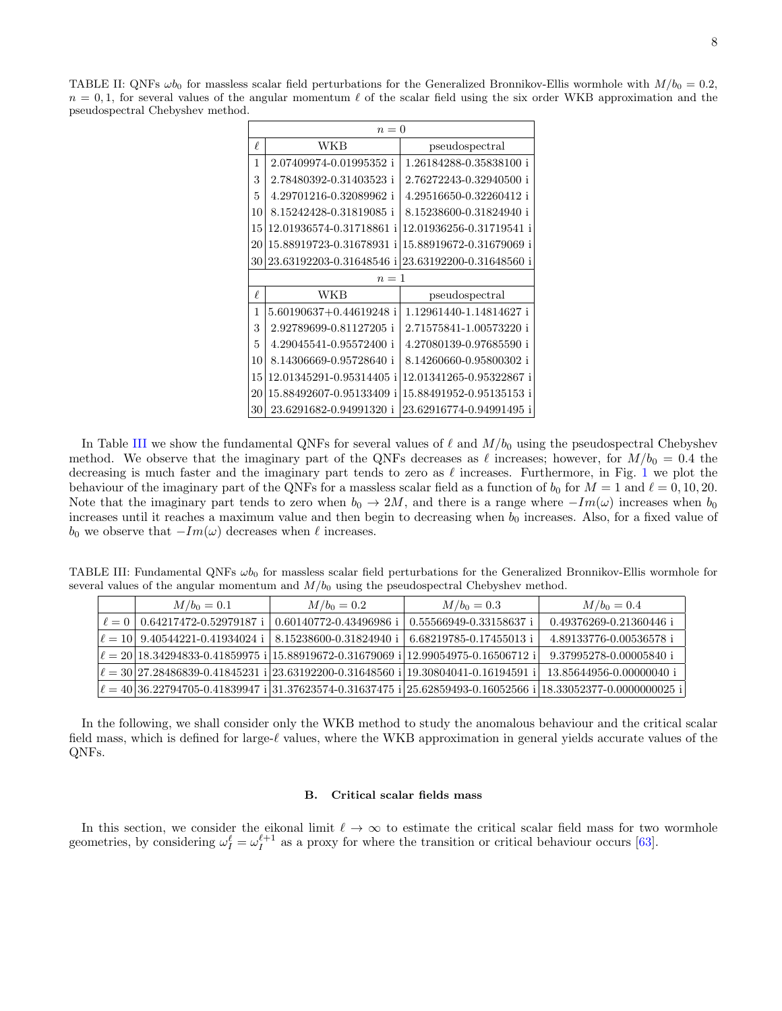<span id="page-7-1"></span>TABLE II: QNFs  $\omega b_0$  for massless scalar field perturbations for the Generalized Bronnikov-Ellis wormhole with  $M/b_0 = 0.2$ ,  $n = 0, 1$ , for several values of the angular momentum  $\ell$  of the scalar field using the six order WKB approximation and the pseudospectral Chebyshev method.

|    | $n=0$                    |                          |  |  |  |
|----|--------------------------|--------------------------|--|--|--|
| ₽  | WKB                      | pseudospectral           |  |  |  |
| 1  | 2.07409974-0.01995352 i  | 1.26184288-0.35838100 i  |  |  |  |
| 3  | 2.78480392-0.31403523 i  | 2.76272243-0.32940500 i  |  |  |  |
| 5  | 4.29701216-0.32089962 i  | 4.29516650-0.32260412 i  |  |  |  |
| 10 | 8.15242428-0.31819085 i  | 8.15238600-0.31824940 i  |  |  |  |
| 15 | 12.01936574-0.31718861 i | 12.01936256-0.31719541   |  |  |  |
| 20 | 15.88919723-0.31678931   | 15.88919672-0.31679069 i |  |  |  |
| 30 | 23.63192203-0.31648546   | 23.63192200-0.31648560 i |  |  |  |
|    | $n=1$                    |                          |  |  |  |
| ₽  | WKB                      | pseudospectral           |  |  |  |
| 1  | 5.60190637+0.44619248 i  | 1.12961440-1.14814627 i  |  |  |  |
| 3  | 2.92789699-0.81127205 i  | 2.71575841-1.00573220 i  |  |  |  |
| 5  | 4.29045541-0.95572400 i  | 4.27080139-0.97685590 i  |  |  |  |
| 10 | 8.14306669-0.95728640 i  | 8.14260660-0.95800302 i  |  |  |  |
| 15 | 12.01345291-0.95314405 i | 12.01341265-0.95322867 i |  |  |  |
| 20 | 15.88492607-0.95133409 i | 15.88491952-0.95135153 i |  |  |  |
| 30 | 23.6291682-0.94991320 i  | 23.62916774-0.94991495 i |  |  |  |

In Table [III](#page-7-2) we show the fundamental QNFs for several values of  $\ell$  and  $M/b_0$  using the pseudospectral Chebyshev method. We observe that the imaginary part of the QNFs decreases as  $\ell$  increases; however, for  $M/b_0 = 0.4$  the decreasing is much faster and the imaginary part tends to zero as  $\ell$  increases. Furthermore, in Fig. [1](#page-8-1) we plot the behaviour of the imaginary part of the QNFs for a massless scalar field as a function of  $b_0$  for  $M = 1$  and  $\ell = 0, 10, 20$ . Note that the imaginary part tends to zero when  $b_0 \to 2M$ , and there is a range where  $-Im(\omega)$  increases when  $b_0$ increases until it reaches a maximum value and then begin to decreasing when  $b_0$  increases. Also, for a fixed value of  $b_0$  we observe that  $-Im(\omega)$  decreases when  $\ell$  increases.

TABLE III: Fundamental QNFs  $\omega b_0$  for massless scalar field perturbations for the Generalized Bronnikov-Ellis wormhole for several values of the angular momentum and  $M/b_0$  using the pseudospectral Chebyshev method.

<span id="page-7-2"></span>

| $M/b_0 = 0.1$                         | $M/b_0 = 0.2$                                                                                      | $M/b_0 = 0.3$                                     | $M/b_0 = 0.4$                                                                                                                                                                                                                                                                                        |
|---------------------------------------|----------------------------------------------------------------------------------------------------|---------------------------------------------------|------------------------------------------------------------------------------------------------------------------------------------------------------------------------------------------------------------------------------------------------------------------------------------------------------|
| $\ell = 0$   0.64217472-0.52979187 i  | 0.60140772-0.43496986 i                                                                            | 0.55566949-0.33158637 i                           | 0.49376269-0.21360446 i                                                                                                                                                                                                                                                                              |
| $\ell = 10$   9.40544221-0.41934024 i |                                                                                                    | 8.15238600-0.31824940 i   6.68219785-0.17455013 i | 4.89133776-0.00536578 i                                                                                                                                                                                                                                                                              |
|                                       | $\ell = 20 18.34294833 - 0.41859975i 15.88919672 - 0.31679069i 12.99054975 - 0.16506712i $         |                                                   | 9.37995278-0.00005840 i                                                                                                                                                                                                                                                                              |
|                                       | $\ell = 30 27.28486839 - 0.41845231$ i $ 23.63192200 - 0.31648560$ i $ 19.30804041 - 0.16194591$ i |                                                   | 13.85644956-0.00000040 i                                                                                                                                                                                                                                                                             |
|                                       |                                                                                                    |                                                   | $\ell = 40 36.22794705 \cdot 0.41839947 \cdot i 31.37623574 \cdot 0.31637475 \cdot i 25.62859493 \cdot 0.16052566 \cdot i 18.33052377 \cdot 0.0000000025 \cdot i 31.37623574 \cdot 0.31637475 \cdot i 25.62859493 \cdot 0.16052566 \cdot i 18.33052377 \cdot 0.0000000025 \cdot i 31.37623574 \cdot$ |

In the following, we shall consider only the WKB method to study the anomalous behaviour and the critical scalar field mass, which is defined for large- $\ell$  values, where the WKB approximation in general yields accurate values of the QNFs.

### <span id="page-7-0"></span>B. Critical scalar fields mass

In this section, we consider the eikonal limit  $\ell \to \infty$  to estimate the critical scalar field mass for two wormhole geometries, by considering  $\omega_I^{\ell} = \omega_I^{\ell+1}$  as a proxy for where the transition or critical behaviour occurs [\[63\]](#page-16-5).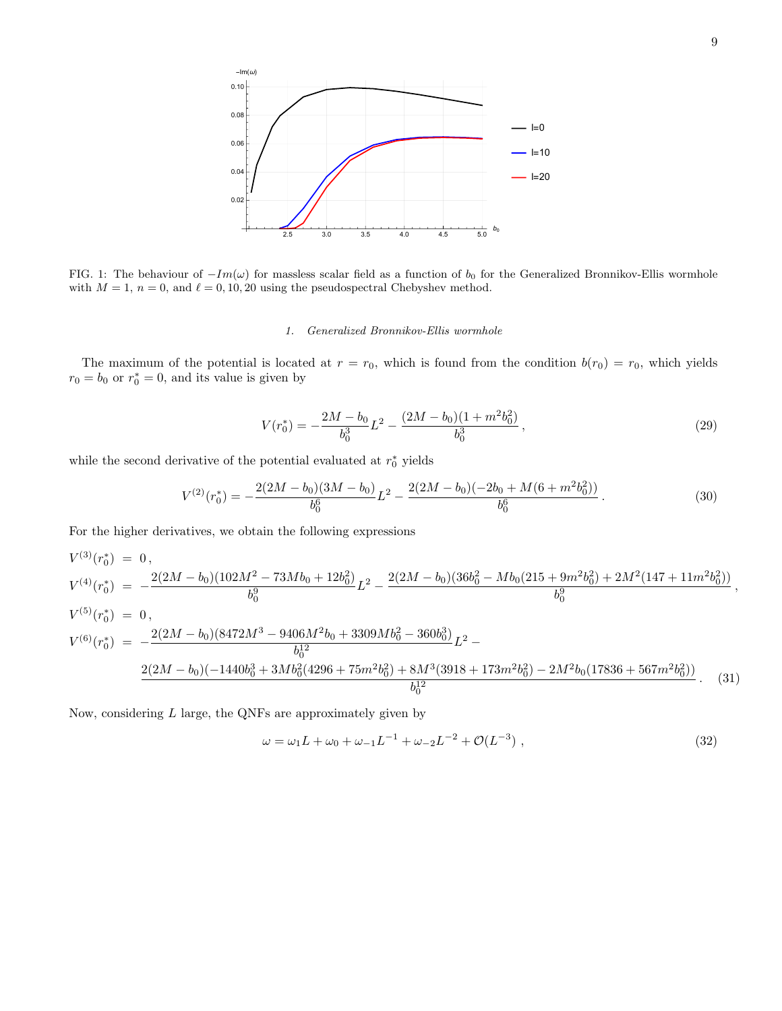

<span id="page-8-1"></span>FIG. 1: The behaviour of  $-Im(\omega)$  for massless scalar field as a function of  $b_0$  for the Generalized Bronnikov-Ellis wormhole with  $M = 1$ ,  $n = 0$ , and  $\ell = 0, 10, 20$  using the pseudospectral Chebyshev method.

## <span id="page-8-0"></span>1. Generalized Bronnikov-Ellis wormhole

The maximum of the potential is located at  $r = r_0$ , which is found from the condition  $b(r_0) = r_0$ , which yields  $r_0 = b_0$  or  $r_0^* = 0$ , and its value is given by

$$
V(r_0^*) = -\frac{2M - b_0}{b_0^3}L^2 - \frac{(2M - b_0)(1 + m^2b_0^2)}{b_0^3},\tag{29}
$$

while the second derivative of the potential evaluated at  $r_0^*$  yields

$$
V^{(2)}(r_0^*) = -\frac{2(2M - b_0)(3M - b_0)}{b_0^6}L^2 - \frac{2(2M - b_0)(-2b_0 + M(6 + m^2b_0^2))}{b_0^6}.
$$
\n
$$
(30)
$$

For the higher derivatives, we obtain the following expressions

$$
V^{(3)}(r_0^*) = 0,
$$
  
\n
$$
V^{(4)}(r_0^*) = -\frac{2(2M - b_0)(102M^2 - 73Mb_0 + 12b_0^2)}{b_0^9}L^2 - \frac{2(2M - b_0)(36b_0^2 - Mb_0(215 + 9m^2b_0^2) + 2M^2(147 + 11m^2b_0^2))}{b_0^9},
$$
  
\n
$$
V^{(5)}(r_0^*) = 0,
$$
  
\n
$$
V^{(6)}(r_0^*) = -\frac{2(2M - b_0)(8472M^3 - 9406M^2b_0 + 3309Mb_0^2 - 360b_0^3)}{b_0^{12}}L^2 - \frac{2(2M - b_0)(-1440b_0^3 + 3Mb_0^2(4296 + 75m^2b_0^2) + 8M^3(3918 + 173m^2b_0^2) - 2M^2b_0(17836 + 567m^2b_0^2))}{b_0^{12}}.
$$
\n(31)

Now, considering  $L$  large, the QNFs are approximately given by

$$
\omega = \omega_1 L + \omega_0 + \omega_{-1} L^{-1} + \omega_{-2} L^{-2} + \mathcal{O}(L^{-3}), \qquad (32)
$$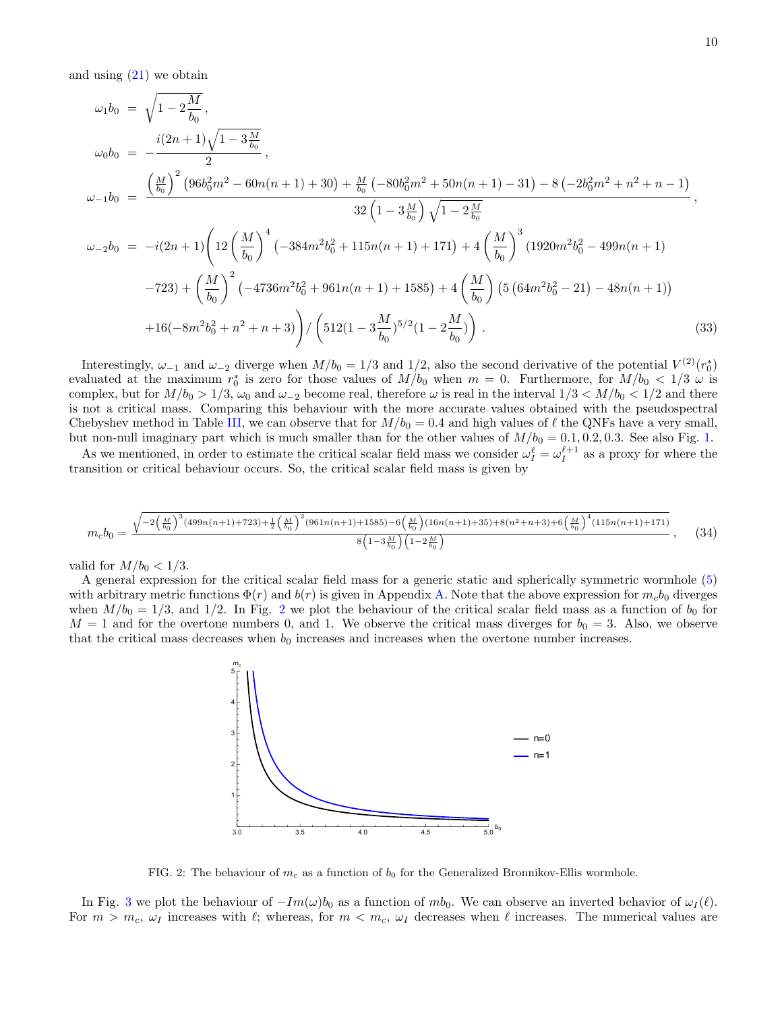and using  $(21)$  we obtain

$$
\omega_{1}b_{0} = \sqrt{1 - 2\frac{M}{b_{0}}},
$$
\n
$$
\omega_{0}b_{0} = -\frac{i(2n+1)\sqrt{1 - 3\frac{M}{b_{0}}}}{2},
$$
\n
$$
\omega_{-1}b_{0} = \frac{\left(\frac{M}{b_{0}}\right)^{2}(96b_{0}^{2}m^{2} - 60n(n+1) + 30) + \frac{M}{b_{0}}(-80b_{0}^{2}m^{2} + 50n(n+1) - 31) - 8(-2b_{0}^{2}m^{2} + n^{2} + n - 1)}{32\left(1 - 3\frac{M}{b_{0}}\right)\sqrt{1 - 2\frac{M}{b_{0}}}},
$$
\n
$$
\omega_{-2}b_{0} = -i(2n+1)\left(12\left(\frac{M}{b_{0}}\right)^{4}(-384m^{2}b_{0}^{2} + 115n(n+1) + 171) + 4\left(\frac{M}{b_{0}}\right)^{3}(1920m^{2}b_{0}^{2} - 499n(n+1) - 723) + \left(\frac{M}{b_{0}}\right)^{2}(-4736m^{2}b_{0}^{2} + 961n(n+1) + 1585) + 4\left(\frac{M}{b_{0}}\right)(5(64m^{2}b_{0}^{2} - 21) - 48n(n+1)) + 16(-8m^{2}b_{0}^{2} + n^{2} + n + 3)\right)/\left(512(1 - 3\frac{M}{b_{0}})^{5/2}(1 - 2\frac{M}{b_{0}})\right).
$$
\n(33)

Interestingly,  $\omega_{-1}$  and  $\omega_{-2}$  diverge when  $M/b_0 = 1/3$  and  $1/2$ , also the second derivative of the potential  $V^{(2)}(r_0^*)$ evaluated at the maximum  $r_0^*$  is zero for those values of  $M/b_0$  when  $m = 0$ . Furthermore, for  $M/b_0 < 1/3$   $\omega$  is complex, but for  $M/b_0 > 1/3$ ,  $\omega_0$  and  $\omega_{-2}$  become real, therefore  $\omega$  is real in the interval  $1/3 < M/b_0 < 1/2$  and there is not a critical mass. Comparing this behaviour with the more accurate values obtained with the pseudospectral Chebyshev method in Table [III,](#page-7-2) we can observe that for  $M/b_0 = 0.4$  and high values of  $\ell$  the QNFs have a very small, but non-null imaginary part which is much smaller than for the other values of  $M/b_0 = 0.1, 0.2, 0.3$ . See also Fig. [1.](#page-8-1)

As we mentioned, in order to estimate the critical scalar field mass we consider  $\omega_I^{\ell} = \omega_I^{\ell+1}$  as a proxy for where the transition or critical behaviour occurs. So, the critical scalar field mass is given by

$$
m_c b_0 = \frac{\sqrt{-2\left(\frac{M}{b_0}\right)^3 (499n(n+1) + 723) + \frac{1}{2} \left(\frac{M}{b_0}\right)^2 (961n(n+1) + 1585) - 6\left(\frac{M}{b_0}\right) (16n(n+1) + 35) + 8(n^2 + n + 3) + 6\left(\frac{M}{b_0}\right)^4 (115n(n+1) + 171)}}{8\left(1 - 3\frac{M}{b_0}\right)\left(1 - 2\frac{M}{b_0}\right)},\tag{34}
$$

valid for  $M/b_0 < 1/3$ .

A general expression for the critical scalar field mass for a generic static and spherically symmetric wormhole [\(5\)](#page-2-1) with arbitrary metric functions  $\Phi(r)$  and  $b(r)$  is given in Appendix [A.](#page-11-2) Note that the above expression for  $m_c b_0$  diverges when  $M/b_0 = 1/3$ , and 1/[2](#page-9-0). In Fig. 2 we plot the behaviour of the critical scalar field mass as a function of  $b_0$  for  $M = 1$  and for the overtone numbers 0, and 1. We observe the critical mass diverges for  $b_0 = 3$ . Also, we observe that the critical mass decreases when  $b_0$  increases and increases when the overtone number increases.



<span id="page-9-0"></span>FIG. 2: The behaviour of  $m_c$  as a function of  $b_0$  for the Generalized Bronnikov-Ellis wormhole.

In Fig. [3](#page-10-1) we plot the behaviour of  $-Im(\omega)b_0$  as a function of mb<sub>0</sub>. We can observe an inverted behavior of  $\omega_I(\ell)$ . For  $m > m_c$ ,  $\omega_I$  increases with  $\ell$ ; whereas, for  $m < m_c$ ,  $\omega_I$  decreases when  $\ell$  increases. The numerical values are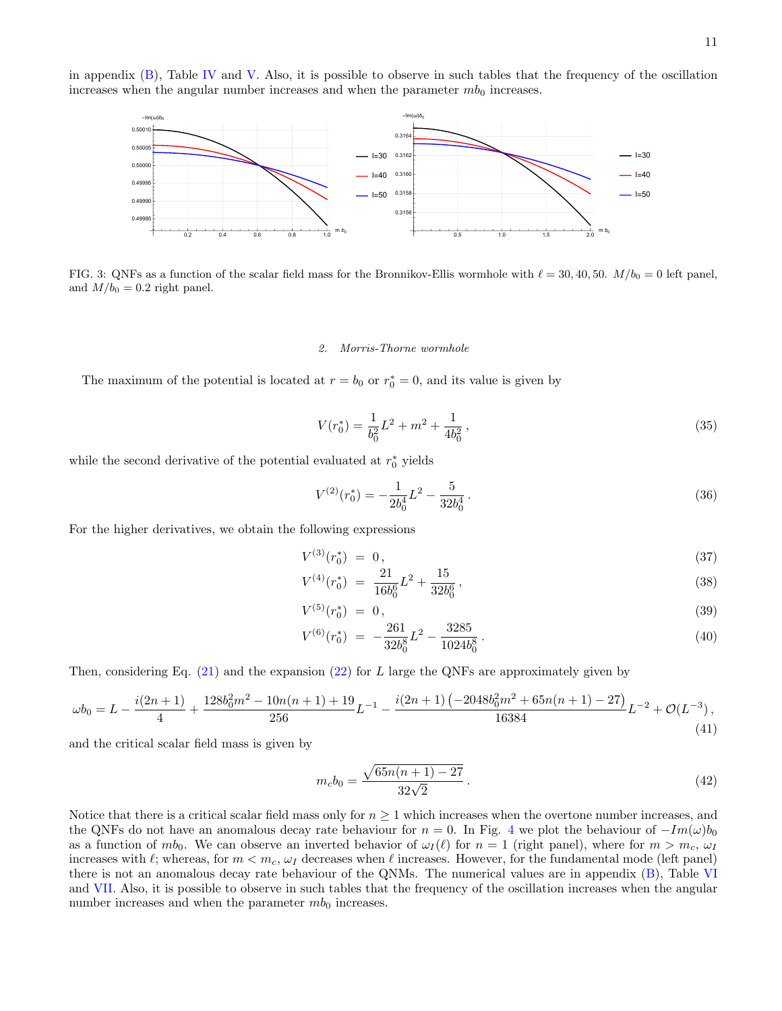in appendix  $(B)$ , Table [IV](#page-13-10) and [V.](#page-13-11) Also, it is possible to observe in such tables that the frequency of the oscillation increases when the angular number increases and when the parameter  $mb_0$  increases.



<span id="page-10-1"></span>FIG. 3: QNFs as a function of the scalar field mass for the Bronnikov-Ellis wormhole with  $\ell = 30, 40, 50$ .  $M/b_0 = 0$  left panel, and  $M/b_0 = 0.2$  right panel.

### <span id="page-10-0"></span>2. Morris-Thorne wormhole

The maximum of the potential is located at  $r = b_0$  or  $r_0^* = 0$ , and its value is given by

$$
V(r_0^*) = \frac{1}{b_0^2}L^2 + m^2 + \frac{1}{4b_0^2},\tag{35}
$$

while the second derivative of the potential evaluated at  $r_0^*$  yields

$$
V^{(2)}(r_0^*) = -\frac{1}{2b_0^4}L^2 - \frac{5}{32b_0^4}.
$$
\n(36)

For the higher derivatives, we obtain the following expressions

$$
V^{(3)}(r_0^*) = 0, \t\t(37)
$$

$$
V^{(4)}(r_0^*) = \frac{21}{16b_0^6}L^2 + \frac{15}{32b_0^6},\tag{38}
$$

$$
V^{(5)}(r_0^*) = 0,\t\t(39)
$$

$$
V^{(6)}(r_0^*) = -\frac{261}{32b_0^8}L^2 - \frac{3285}{1024b_0^8}.
$$
\n(40)

Then, considering Eq.  $(21)$  and the expansion  $(22)$  for L large the QNFs are approximately given by

$$
\omega b_0 = L - \frac{i(2n+1)}{4} + \frac{128b_0^2m^2 - 10n(n+1) + 19}{256}L^{-1} - \frac{i(2n+1)(-2048b_0^2m^2 + 65n(n+1) - 27)}{16384}L^{-2} + \mathcal{O}(L^{-3}),
$$
\n(41)

and the critical scalar field mass is given by

$$
m_c b_0 = \frac{\sqrt{65n(n+1) - 27}}{32\sqrt{2}}.
$$
\n(42)

Notice that there is a critical scalar field mass only for  $n \geq 1$  which increases when the overtone number increases, and the QNFs do not have an anomalous decay rate behaviour for  $n = 0$ . In Fig. [4](#page-11-3) we plot the behaviour of  $-Im(\omega)b_0$ as a function of  $mb_0$ . We can observe an inverted behavior of  $\omega_I(\ell)$  for  $n = 1$  (right panel), where for  $m > m_c$ ,  $\omega_I$ increases with  $\ell$ ; whereas, for  $m < m_c$ ,  $\omega_I$  decreases when  $\ell$  increases. However, for the fundamental mode (left panel) there is not an anomalous decay rate behaviour of the QNMs. The numerical values are in appendix [\(B\)](#page-12-0), Table [VI](#page-14-9) and [VII.](#page-14-10) Also, it is possible to observe in such tables that the frequency of the oscillation increases when the angular number increases and when the parameter  $mb_0$  increases.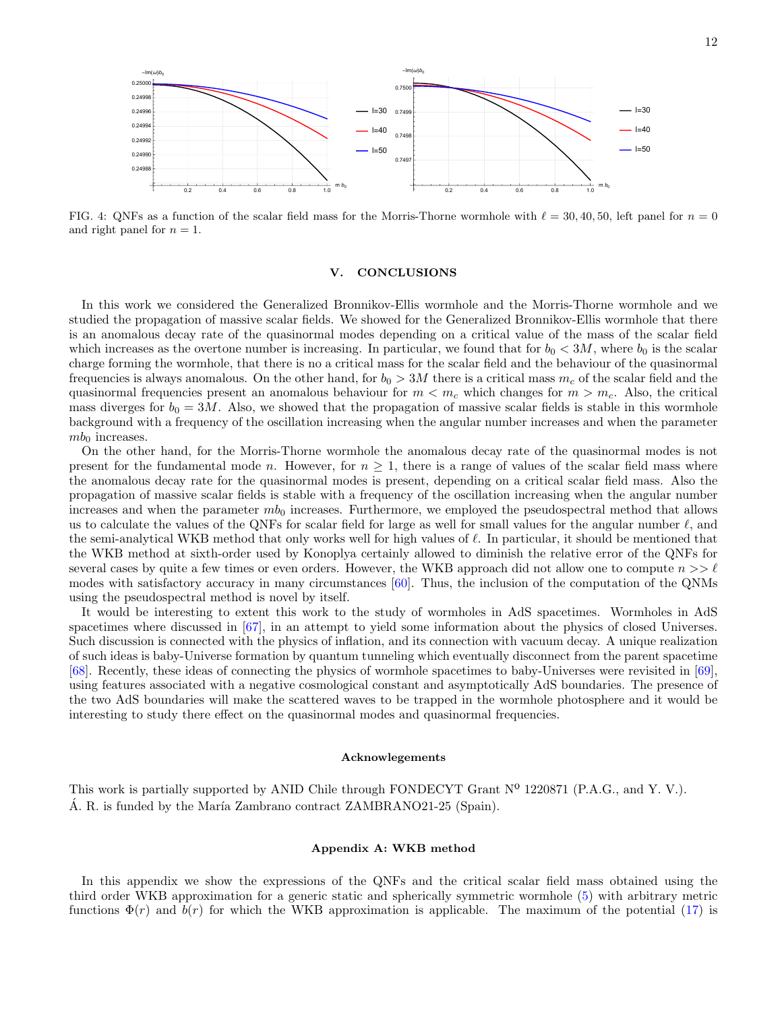

<span id="page-11-3"></span>FIG. 4: QNFs as a function of the scalar field mass for the Morris-Thorne wormhole with  $\ell = 30, 40, 50$ , left panel for  $n = 0$ and right panel for  $n = 1$ .

### <span id="page-11-0"></span>V. CONCLUSIONS

In this work we considered the Generalized Bronnikov-Ellis wormhole and the Morris-Thorne wormhole and we studied the propagation of massive scalar fields. We showed for the Generalized Bronnikov-Ellis wormhole that there is an anomalous decay rate of the quasinormal modes depending on a critical value of the mass of the scalar field which increases as the overtone number is increasing. In particular, we found that for  $b_0 < 3M$ , where  $b_0$  is the scalar charge forming the wormhole, that there is no a critical mass for the scalar field and the behaviour of the quasinormal frequencies is always anomalous. On the other hand, for  $b_0 > 3M$  there is a critical mass  $m_c$  of the scalar field and the quasinormal frequencies present an anomalous behaviour for  $m < m_c$  which changes for  $m > m_c$ . Also, the critical mass diverges for  $b_0 = 3M$ . Also, we showed that the propagation of massive scalar fields is stable in this wormhole background with a frequency of the oscillation increasing when the angular number increases and when the parameter  $mb_0$  increases.

On the other hand, for the Morris-Thorne wormhole the anomalous decay rate of the quasinormal modes is not present for the fundamental mode n. However, for  $n \geq 1$ , there is a range of values of the scalar field mass where the anomalous decay rate for the quasinormal modes is present, depending on a critical scalar field mass. Also the propagation of massive scalar fields is stable with a frequency of the oscillation increasing when the angular number increases and when the parameter  $mb_0$  increases. Furthermore, we employed the pseudospectral method that allows us to calculate the values of the QNFs for scalar field for large as well for small values for the angular number  $\ell$ , and the semi-analytical WKB method that only works well for high values of  $\ell$ . In particular, it should be mentioned that the WKB method at sixth-order used by Konoplya certainly allowed to diminish the relative error of the QNFs for several cases by quite a few times or even orders. However, the WKB approach did not allow one to compute  $n >> \ell$ modes with satisfactory accuracy in many circumstances [\[60\]](#page-16-2). Thus, the inclusion of the computation of the QNMs using the pseudospectral method is novel by itself.

It would be interesting to extent this work to the study of wormholes in AdS spacetimes. Wormholes in AdS spacetimes where discussed in [\[67\]](#page-16-6), in an attempt to yield some information about the physics of closed Universes. Such discussion is connected with the physics of inflation, and its connection with vacuum decay. A unique realization of such ideas is baby-Universe formation by quantum tunneling which eventually disconnect from the parent spacetime [\[68\]](#page-16-7). Recently, these ideas of connecting the physics of wormhole spacetimes to baby-Universes were revisited in [\[69\]](#page-16-8), using features associated with a negative cosmological constant and asymptotically AdS boundaries. The presence of the two AdS boundaries will make the scattered waves to be trapped in the wormhole photosphere and it would be interesting to study there effect on the quasinormal modes and quasinormal frequencies.

### <span id="page-11-1"></span>Acknowlegements

This work is partially supported by ANID Chile through FONDECYT Grant  $N^{\Omega}$  1220871 (P.A.G., and Y. V.).  $\hat{A}$ . R. is funded by the María Zambrano contract ZAMBRANO21-25 (Spain).

### <span id="page-11-2"></span>Appendix A: WKB method

In this appendix we show the expressions of the QNFs and the critical scalar field mass obtained using the third order WKB approximation for a generic static and spherically symmetric wormhole [\(5\)](#page-2-1) with arbitrary metric functions  $\Phi(r)$  and  $b(r)$  for which the WKB approximation is applicable. The maximum of the potential [\(17\)](#page-4-4) is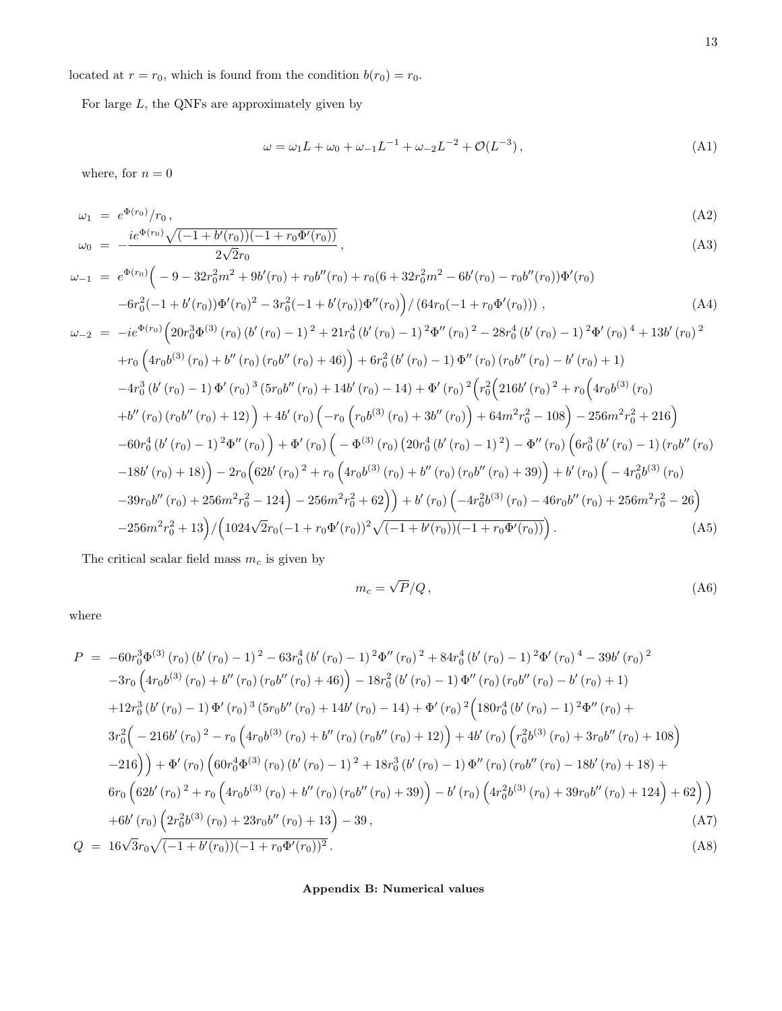located at  $r = r_0$ , which is found from the condition  $b(r_0) = r_0$ .

For large  $L$ , the QNFs are approximately given by

$$
\omega = \omega_1 L + \omega_0 + \omega_{-1} L^{-1} + \omega_{-2} L^{-2} + \mathcal{O}(L^{-3}), \tag{A1}
$$

where, for  $n=0$ 

$$
\omega_1 = e^{\Phi(r_0)} / r_0, \n\omega_0 = -\frac{ie^{\Phi(r_0)}\sqrt{(-1+b'(r_0))(-1+r_0\Phi'(r_0))}}{e^{\frac{r_0}{\sqrt{2}}}},
$$
\n(A2)

$$
\omega_{-1} = e^{\Phi(r_0)} \Big( -9 - 32r_0^2 m^2 + 9b'(r_0) + r_0b''(r_0) + r_0(6 + 32r_0^2 m^2 - 6b'(r_0) - r_0b''(r_0))\Phi'(r_0) \n-6r_0^2(-1 + b'(r_0))\Phi'(r_0)^2 - 3r_0^2(-1 + b'(r_0))\Phi''(r_0) \Big) / (64r_0(-1 + r_0\Phi'(r_0))) , \qquad (A4)
$$
\n
$$
\omega_{-2} = -ie^{\Phi(r_0)} \Big( 20r_0^3\Phi^{(3)}(r_0) (b'(r_0) - 1)^2 + 21r_0^4 (b'(r_0) - 1)^2\Phi''(r_0)^2 - 28r_0^4 (b'(r_0) - 1)^2\Phi'(r_0)^4 + 13b'(r_0)^2 \n+ r_0 \Big( 4r_0b^{(3)}(r_0) + b''(r_0) (r_0b''(r_0) + 46) \Big) + 6r_0^2 (b'(r_0) - 1)\Phi''(r_0) (r_0b''(r_0) - b'(r_0) + 1) \n-4r_0^3 (b'(r_0) - 1)\Phi'(r_0)^3 (5r_0b''(r_0) + 14b'(r_0) - 14) + \Phi'(r_0)^2 \Big( r_0^2 \Big( 216b'(r_0)^2 + r_0 \Big( 4r_0b^{(3)}(r_0) \n+ b''(r_0) (r_0b''(r_0) + 12) \Big) + 4b'(r_0) \Big( -r_0 \Big( r_0b^{(3)}(r_0) + 3b''(r_0) \Big) + 64m^2r_0^2 - 108 \Big) - 256m^2r_0^2 + 216 \Big)
$$
\n
$$
-60r_0^4 (b'(r_0) - 1)^2\Phi''(r_0) \Big) + \Phi'(r_0) \Big( -\Phi^{(3)}(r_0) (20r_0^4 (b'(r_0) - 1)^2) - \Phi''(r_0) \Big( 6r_0^3 (b'(r_0) - 1) (r_0b''(r_0
$$

The critical scalar field mass  $m_c$  is given by

$$
m_c = \sqrt{P}/Q\,,\tag{A6}
$$

where

$$
P = -60r_0^3 \Phi^{(3)}(r_0) (b'(r_0) - 1)^2 - 63r_0^4 (b'(r_0) - 1)^2 \Phi''(r_0)^2 + 84r_0^4 (b'(r_0) - 1)^2 \Phi'(r_0)^4 - 39b'(r_0)^2
$$
  
\n
$$
-3r_0 \left(4r_0b^{(3)}(r_0) + b''(r_0)(r_0b''(r_0) + 46)\right) - 18r_0^2 (b'(r_0) - 1) \Phi''(r_0) (r_0b''(r_0) - b'(r_0) + 1)
$$
  
\n
$$
+12r_0^3 (b'(r_0) - 1) \Phi'(r_0)^3 (5r_0b''(r_0) + 14b'(r_0) - 14) + \Phi'(r_0)^2 \left(180r_0^4 (b'(r_0) - 1)^2 \Phi''(r_0) + 3r_0^2 \left(-216b'(r_0)^2 - r_0 \left(4r_0b^{(3)}(r_0) + b''(r_0)(r_0b''(r_0) + 12)\right) + 4b'(r_0) \left(r_0^2b^{(3)}(r_0) + 3r_0b''(r_0) + 108\right)\right)
$$
  
\n
$$
-216\right)\right) + \Phi'(r_0) \left(60r_0^4 \Phi^{(3)}(r_0) (b'(r_0) - 1)^2 + 18r_0^3 (b'(r_0) - 1) \Phi''(r_0) (r_0b''(r_0) - 18b'(r_0) + 18) + 6r_0 \left(62b'(r_0)^2 + r_0 \left(4r_0b^{(3)}(r_0) + b''(r_0) (r_0b''(r_0) + 39)\right) - b'(r_0) \left(4r_0^2b^{(3)}(r_0) + 39r_0b''(r_0) + 124\right) + 62\right)\right)
$$
  
\n
$$
+6b'(r_0) \left(2r_0^2b^{(3)}(r_0) + 23r_0b''(r_0) + 13\right) - 39,
$$
  
\n
$$
Q = 16\sqrt{3}r_0\
$$

# <span id="page-12-0"></span>Appendix B: Numerical values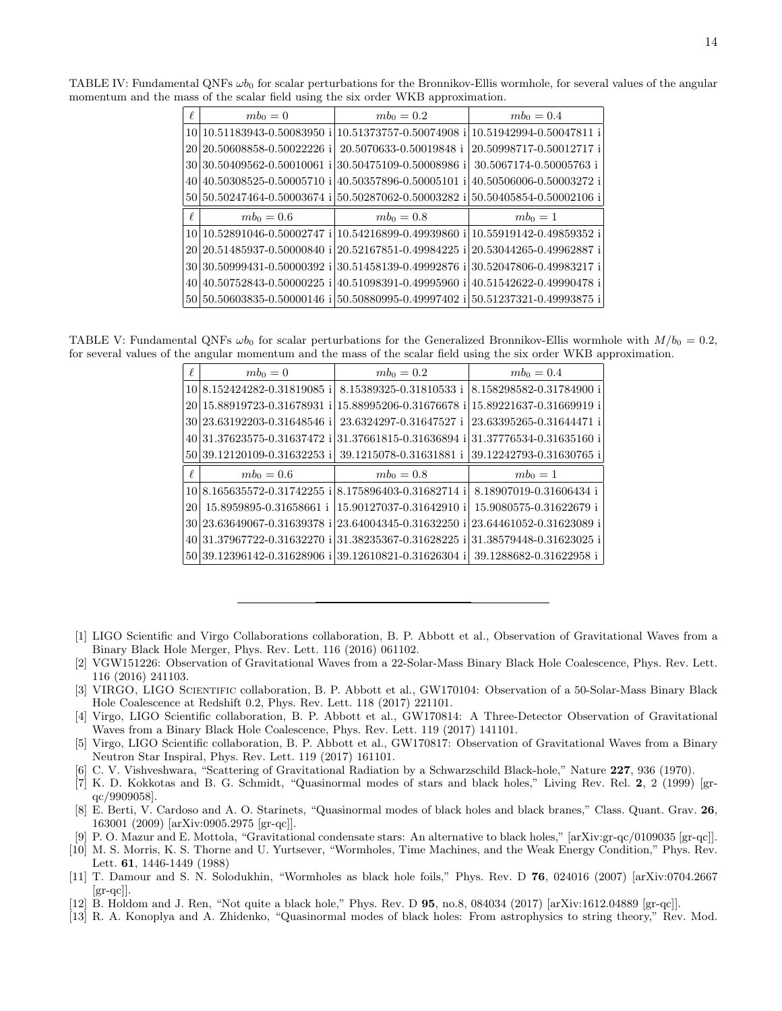<span id="page-13-10"></span>

| $\ell$ | $mb_0=0$                                             | $mb_0 = 0.2$                                      | $mb_0 = 0.4$             |
|--------|------------------------------------------------------|---------------------------------------------------|--------------------------|
|        | 10 10 51183943-0.50083950 i 10.51373757-0.50074908 i |                                                   | 10.51942994-0.50047811 i |
|        | 20 20.50608858-0.50022226 i                          | 20.5070633-0.50019848 i                           | 20.50998717-0.50012717 i |
|        | 30 30 50409562-0.50010061 i                          | 30.50475109-0.50008986 i                          | 30.5067174-0.50005763 i  |
| 40     | 40.50308525-0.50005710<br>i.                         | 40.50357896-0.50005101 i                          | 40.50506006-0.50003272 i |
|        | 50 50.50247464-0.50003674 i 50.50287062-0.50003282 i |                                                   | 50.50405854-0.50002106 i |
|        |                                                      |                                                   |                          |
| $\ell$ | $mb_0 = 0.6$                                         | $mb_0 = 0.8$                                      | $mb_0=1$                 |
| 10 I   |                                                      | 10.52891046-0.50002747 i 10.54216899-0.49939860 i | 10.55919142-0.49859352 i |
|        | 20 20 31485937-0.50000840 i 20.52167851-0.49984225   | i                                                 | 20.53044265-0.49962887 i |
| 30 l   | 30.50999431-0.50000392 i 30.51458139-0.49992876 i    |                                                   | 30.52047806-0.49983217 i |
| 40     |                                                      | 40.50752843-0.50000225 i 40.51098391-0.49995960 i | 40.51542622-0.49990478 i |

TABLE IV: Fundamental QNFs  $\omega b_0$  for scalar perturbations for the Bronnikov-Ellis wormhole, for several values of the angular momentum and the mass of the scalar field using the six order WKB approximation.

TABLE V: Fundamental QNFs  $\omega b_0$  for scalar perturbations for the Generalized Bronnikov-Ellis wormhole with  $M/b_0 = 0.2$ , for several values of the angular momentum and the mass of the scalar field using the six order WKB approximation.

<span id="page-13-11"></span>

| $\ell$ | $mb_0=0$                       | $mb_0 = 0.2$             | $mb_0 = 0.4$             |
|--------|--------------------------------|--------------------------|--------------------------|
|        | 10 8.152424282-0.31819085 i    | 8.15389325-0.31810533 i  | 8.158298582-0.31784900 i |
|        | 20 15.88919723-0.31678931      | 15.88995206-0.31676678 i | 15.89221637-0.31669919 i |
|        | 30 23.63192203-0.31648546 i    | 23.6324297-0.31647527 i  | 23.63395265-0.31644471 i |
|        | 40 31.37623575-0.31637472<br>i | 31.37661815-0.31636894 i | 31.37776534-0.31635160 i |
|        | 50 39.12120109-0.31632253 i    | 39.1215078-0.31631881 i  | 39.12242793-0.31630765 i |
| $\ell$ | $mb_0 = 0.6$                   | $mb_0 = 0.8$             | $mb_0=1$                 |
|        | 10 8.165635572-0.31742255 i    | 8.175896403-0.31682714 i | 8.18907019-0.31606434 i  |
| 20     | 15.8959895-0.31658661 i        | 15.90127037-0.31642910 i | 15.9080575-0.31622679 i  |
|        | 30 23.63649067-0.31639378<br>i | 23.64004345-0.31632250   | 23.64461052-0.31623089 i |
| 40     | 131.37967722-0.31632270<br>i   | 31.38235367-0.31628225 i | 31.38579448-0.31623025 i |
|        | 50 39.12396142-0.31628906 i    | 39.12610821-0.31626304 i | 39.1288682-0.31622958 i  |

- <span id="page-13-1"></span><span id="page-13-0"></span>[1] LIGO Scientific and Virgo Collaborations collaboration, B. P. Abbott et al., Observation of Gravitational Waves from a Binary Black Hole Merger, Phys. Rev. Lett. 116 (2016) 061102.
- [2] VGW151226: Observation of Gravitational Waves from a 22-Solar-Mass Binary Black Hole Coalescence, Phys. Rev. Lett. 116 (2016) 241103.
- [3] VIRGO, LIGO Scientific collaboration, B. P. Abbott et al., GW170104: Observation of a 50-Solar-Mass Binary Black Hole Coalescence at Redshift 0.2, Phys. Rev. Lett. 118 (2017) 221101.
- [4] Virgo, LIGO Scientific collaboration, B. P. Abbott et al., GW170814: A Three-Detector Observation of Gravitational Waves from a Binary Black Hole Coalescence, Phys. Rev. Lett. 119 (2017) 141101.
- <span id="page-13-2"></span>[5] Virgo, LIGO Scientific collaboration, B. P. Abbott et al., GW170817: Observation of Gravitational Waves from a Binary Neutron Star Inspiral, Phys. Rev. Lett. 119 (2017) 161101.
- <span id="page-13-3"></span>[6] C. V. Vishveshwara, "Scattering of Gravitational Radiation by a Schwarzschild Black-hole," Nature 227, 936 (1970).
- <span id="page-13-7"></span>[7] K. D. Kokkotas and B. G. Schmidt, "Quasinormal modes of stars and black holes," Living Rev. Rel. 2, 2 (1999) [grqc/9909058].
- <span id="page-13-8"></span>[8] E. Berti, V. Cardoso and A. O. Starinets, "Quasinormal modes of black holes and black branes," Class. Quant. Grav. 26, 163001 (2009) [arXiv:0905.2975 [gr-qc]].
- <span id="page-13-5"></span>[9] P. O. Mazur and E. Mottola, "Gravitational condensate stars: An alternative to black holes," [arXiv:gr-qc/0109035 [gr-qc]].
- <span id="page-13-9"></span>[10] M. S. Morris, K. S. Thorne and U. Yurtsever, "Wormholes, Time Machines, and the Weak Energy Condition," Phys. Rev. Lett. 61, 1446-1449 (1988)
- [11] T. Damour and S. N. Solodukhin, "Wormholes as black hole foils," Phys. Rev. D 76, 024016 (2007) [arXiv:0704.2667  $\left[\text{gr-qc}\right]$ .
- <span id="page-13-6"></span>[12] B. Holdom and J. Ren, "Not quite a black hole," Phys. Rev. D 95, no.8, 084034 (2017) [arXiv:1612.04889 [gr-qc]].
- <span id="page-13-4"></span>[13] R. A. Konoplya and A. Zhidenko, "Quasinormal modes of black holes: From astrophysics to string theory," Rev. Mod.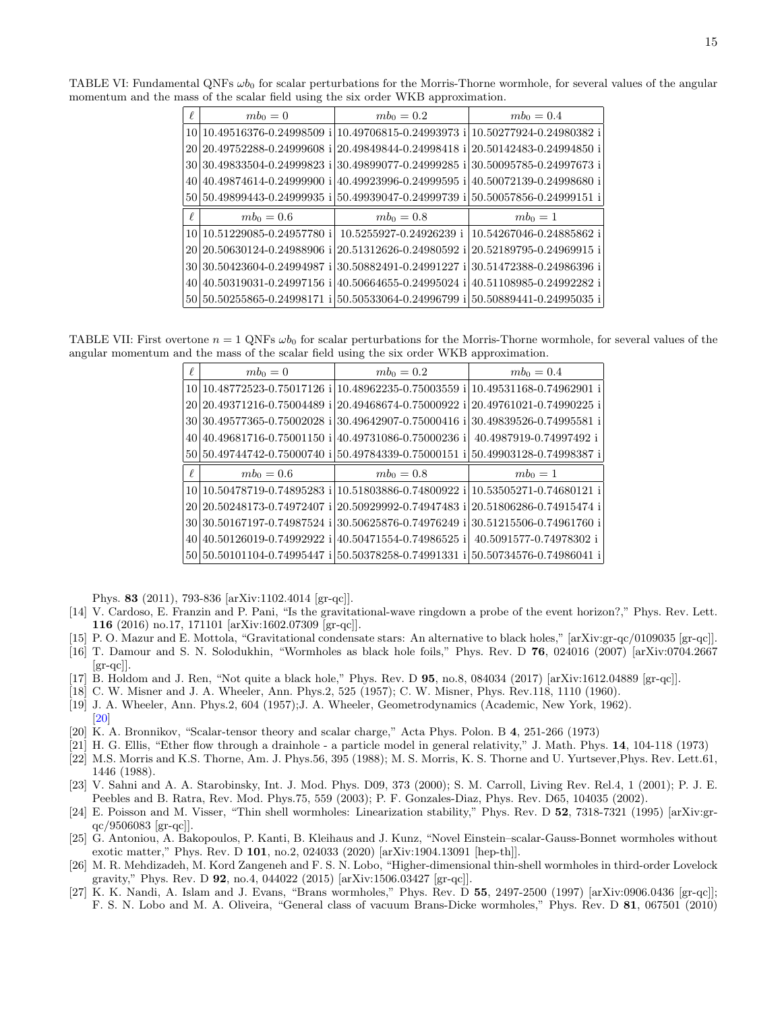<span id="page-14-9"></span>

| $\ell$ | $mb_0=0$                                                                            | $mb_0 = 0.2$                | $mb_0 = 0.4$             |
|--------|-------------------------------------------------------------------------------------|-----------------------------|--------------------------|
| 10     | $(10.49516376 - 0.24998509 i)10.49706815 - 0.24993973 i)10.50277924 - 0.24980382 i$ |                             |                          |
| 20     | 20.49752288-0.24999608 i                                                            | 20.49849844-0.24998418 i    | 20.50142483-0.24994850 i |
| 30     | 30.49833504-0.24999823<br>i                                                         | 30.49899077-0.24999285 i    | 30.50095785-0.24997673 i |
| 40     | 40.49874614-0.24999900 i                                                            | 40.49923996-0.24999595 i    | 40.50072139-0.24998680 i |
|        | 50 50.49899443-0.24999935 i                                                         | 50.49939047-0.24999739 i    | 50.50057856-0.24999151 i |
|        |                                                                                     |                             |                          |
| $\ell$ | $mb_0 = 0.6$                                                                        | $mb_0 = 0.8$                | $mb_0=1$                 |
| 10     | 10.51229085-0.24957780 i                                                            | 10.5255927-0.24926239 i     | 10.54267046-0.24885862 i |
| 20     | 20.50630124-0.24988906 i                                                            | 20.51312626-0.24980592 i    | 20.52189795-0.24969915 i |
| 30     | 30.50423604-0.24994987 <br>i                                                        | 30.50882491-0.24991227<br>j | 30.51472388-0.24986396 i |
| 40     | 40.50319031-0.24997156<br>i                                                         | 40.50664655-0.24995024 i    | 40.51108985-0.24992282 i |

TABLE VI: Fundamental QNFs  $\omega b_0$  for scalar perturbations for the Morris-Thorne wormhole, for several values of the angular momentum and the mass of the scalar field using the six order WKB approximation.

TABLE VII: First overtone  $n = 1$  QNFs  $\omega b_0$  for scalar perturbations for the Morris-Thorne wormhole, for several values of the angular momentum and the mass of the scalar field using the six order WKB approximation.

<span id="page-14-10"></span>

| $\ell$ | $mb_0=0$                                                            | $mb_0 = 0.2$ | $mb_0 = 0.4$             |
|--------|---------------------------------------------------------------------|--------------|--------------------------|
|        | 10 10.48772523-0.75017126 i 10.48962235-0.75003559 i                |              | 10.49531168-0.74962901 i |
|        | 20 20.49371216-0.75004489 i 20.49468674-0.75000922 i                |              | 20.49761021-0.74990225 i |
|        | 30 30.49577365-0.75002028 i 30.49642907-0.75000416 i                |              | 30.49839526-0.74995581 i |
| 40     | 40.49681716-0.75001150 i 40.49731086-0.75000236 i                   |              | 40.4987919-0.74997492 i  |
|        | 50 50.49744742-0.75000740 i 50.49784339-0.75000151 i                |              | 50.49903128-0.74998387 i |
| $\ell$ | $mb_0 = 0.6$                                                        | $mb_0 = 0.8$ | $mb_0=1$                 |
|        | 10 10.50478719-0.74895283 i 10.51803886-0.74800922 i                |              | 10.53505271-0.74680121 i |
| 201    | 20.50248173-0.74972407 i 20.50929992-0.74947483 i                   |              | 20.51806286-0.74915474 i |
| 301    | 30.50167197-0.74987524 i 30.50625876-0.74976249 i                   |              | 30.51215506-0.74961760 i |
| 40     | 40.50126019-0.74992922 i 40.50471554-0.74986525 i                   |              | 40.5091577-0.74978302 i  |
|        | 50 50 50 50 10 110 4 - 0.749 95447 i 50 50 378 258 - 0.749 913 31 i |              | 50.50734576-0.74986041 i |

Phys. 83 (2011), 793-836 [arXiv:1102.4014 [gr-qc]].

- <span id="page-14-0"></span>[14] V. Cardoso, E. Franzin and P. Pani, "Is the gravitational-wave ringdown a probe of the event horizon?," Phys. Rev. Lett. 116 (2016) no.17, 171101 [arXiv:1602.07309 [gr-qc]].
- [15] P. O. Mazur and E. Mottola, "Gravitational condensate stars: An alternative to black holes," [arXiv:gr-qc/0109035 [gr-qc]].
- [16] T. Damour and S. N. Solodukhin, "Wormholes as black hole foils," Phys. Rev. D 76, 024016 (2007) [arXiv:0704.2667  $\left[\mathrm{gr}\text{-}\mathrm{qc}\right]$ .
- [17] B. Holdom and J. Ren, "Not quite a black hole," Phys. Rev. D 95, no.8, 084034 (2017) [arXiv:1612.04889 [gr-qc]].
- <span id="page-14-1"></span>[18] C. W. Misner and J. A. Wheeler, Ann. Phys.2, 525 (1957); C. W. Misner, Phys. Rev.118, 1110 (1960).
- <span id="page-14-2"></span>[19] J. A. Wheeler, Ann. Phys.2, 604 (1957);J. A. Wheeler, Geometrodynamics (Academic, New York, 1962). [\[20\]](#page-14-3)
- <span id="page-14-3"></span>[20] K. A. Bronnikov, "Scalar-tensor theory and scalar charge," Acta Phys. Polon. B 4, 251-266 (1973)
- <span id="page-14-7"></span>[21] H. G. Ellis, "Ether flow through a drainhole - a particle model in general relativity," J. Math. Phys. 14, 104-118 (1973)
- <span id="page-14-8"></span>[22] M.S. Morris and K.S. Thorne, Am. J. Phys.56, 395 (1988); M. S. Morris, K. S. Thorne and U. Yurtsever,Phys. Rev. Lett.61, 1446 (1988).
- [23] V. Sahni and A. A. Starobinsky, Int. J. Mod. Phys. D09, 373 (2000); S. M. Carroll, Living Rev. Rel.4, 1 (2001); P. J. E. Peebles and B. Ratra, Rev. Mod. Phys.75, 559 (2003); P. F. Gonzales-Diaz, Phys. Rev. D65, 104035 (2002).
- <span id="page-14-4"></span>[24] E. Poisson and M. Visser, "Thin shell wormholes: Linearization stability," Phys. Rev. D 52, 7318-7321 (1995) [arXiv:gr $qc/9506083$  [gr-qc]].
- [25] G. Antoniou, A. Bakopoulos, P. Kanti, B. Kleihaus and J. Kunz, "Novel Einstein–scalar-Gauss-Bonnet wormholes without exotic matter," Phys. Rev. D 101, no.2, 024033 (2020) [arXiv:1904.13091 [hep-th]].
- <span id="page-14-5"></span>[26] M. R. Mehdizadeh, M. Kord Zangeneh and F. S. N. Lobo, "Higher-dimensional thin-shell wormholes in third-order Lovelock gravity," Phys. Rev. D 92, no.4, 044022 (2015) [arXiv:1506.03427 [gr-qc]].
- <span id="page-14-6"></span>[27] K. K. Nandi, A. Islam and J. Evans, "Brans wormholes," Phys. Rev. D 55, 2497-2500 (1997) [arXiv:0906.0436 [gr-qc]]; F. S. N. Lobo and M. A. Oliveira, "General class of vacuum Brans-Dicke wormholes," Phys. Rev. D 81, 067501 (2010)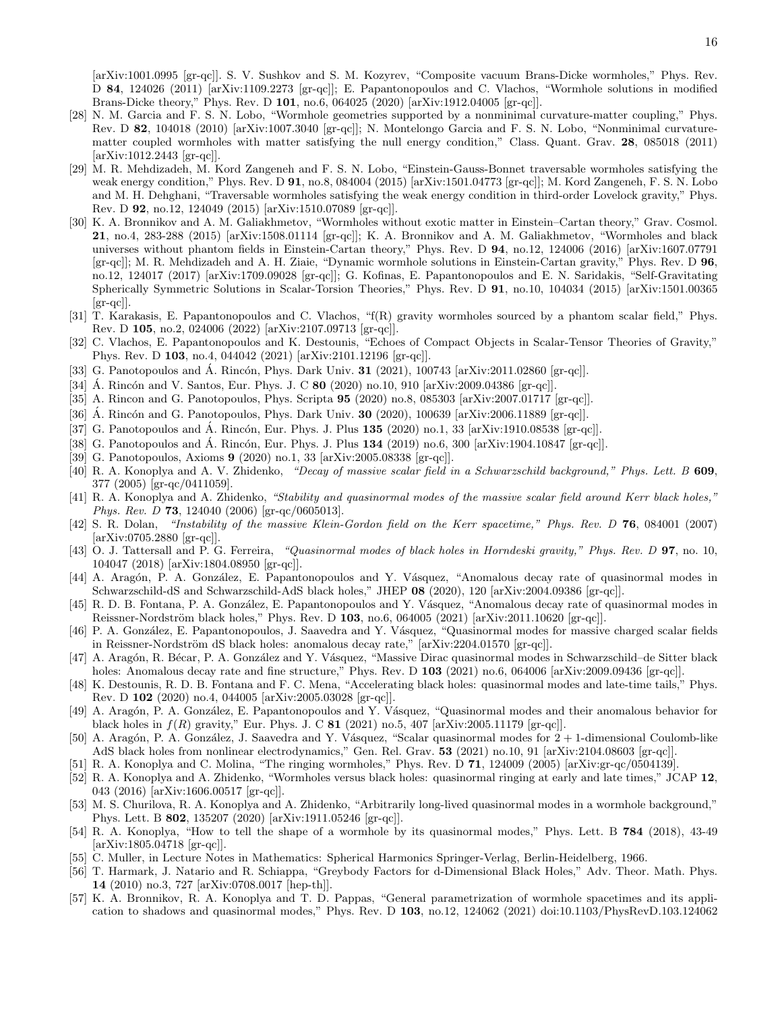[arXiv:1001.0995 [gr-qc]]. S. V. Sushkov and S. M. Kozyrev, "Composite vacuum Brans-Dicke wormholes," Phys. Rev. D 84, 124026 (2011) [arXiv:1109.2273 [gr-qc]]; E. Papantonopoulos and C. Vlachos, "Wormhole solutions in modified Brans-Dicke theory," Phys. Rev. D 101, no.6, 064025 (2020) [arXiv:1912.04005 [gr-qc]].

- <span id="page-15-0"></span>[28] N. M. Garcia and F. S. N. Lobo, "Wormhole geometries supported by a nonminimal curvature-matter coupling," Phys. Rev. D 82, 104018 (2010) [arXiv:1007.3040 [gr-qc]]; N. Montelongo Garcia and F. S. N. Lobo, "Nonminimal curvaturematter coupled wormholes with matter satisfying the null energy condition," Class. Quant. Grav. 28, 085018 (2011) [arXiv:1012.2443 [gr-qc]].
- <span id="page-15-1"></span>[29] M. R. Mehdizadeh, M. Kord Zangeneh and F. S. N. Lobo, "Einstein-Gauss-Bonnet traversable wormholes satisfying the weak energy condition," Phys. Rev. D 91, no.8, 084004 (2015) [arXiv:1501.04773 [gr-qc]]; M. Kord Zangeneh, F. S. N. Lobo and M. H. Dehghani, "Traversable wormholes satisfying the weak energy condition in third-order Lovelock gravity," Phys. Rev. D 92, no.12, 124049 (2015) [arXiv:1510.07089 [gr-qc]].
- <span id="page-15-2"></span>[30] K. A. Bronnikov and A. M. Galiakhmetov, "Wormholes without exotic matter in Einstein–Cartan theory," Grav. Cosmol. 21, no.4, 283-288 (2015) [arXiv:1508.01114 [gr-qc]]; K. A. Bronnikov and A. M. Galiakhmetov, "Wormholes and black universes without phantom fields in Einstein-Cartan theory," Phys. Rev. D 94, no.12, 124006 (2016) [arXiv:1607.07791 [gr-qc]]; M. R. Mehdizadeh and A. H. Ziaie, "Dynamic wormhole solutions in Einstein-Cartan gravity," Phys. Rev. D 96, no.12, 124017 (2017) [arXiv:1709.09028 [gr-qc]]; G. Kofinas, E. Papantonopoulos and E. N. Saridakis, "Self-Gravitating Spherically Symmetric Solutions in Scalar-Torsion Theories," Phys. Rev. D 91, no.10, 104034 (2015) [arXiv:1501.00365  $\left[\text{gr-qc}\right]$ .
- <span id="page-15-3"></span>[31] T. Karakasis, E. Papantonopoulos and C. Vlachos, "f(R) gravity wormholes sourced by a phantom scalar field," Phys. Rev. D 105, no.2, 024006 (2022) [arXiv:2107.09713 [gr-qc]].
- <span id="page-15-4"></span>[32] C. Vlachos, E. Papantonopoulos and K. Destounis, "Echoes of Compact Objects in Scalar-Tensor Theories of Gravity," Phys. Rev. D 103, no.4, 044042 (2021) [arXiv:2101.12196 [gr-qc]].
- <span id="page-15-5"></span>[33] G. Panotopoulos and  $\acute{A}$ . Rincón, Phys. Dark Univ. **31** (2021), 100743 [arXiv:2011.02860 [gr-qc]].
- [34] Á. Rincón and V. Santos, Eur. Phys. J. C  $80$  (2020) no.10, 910 [arXiv:2009.04386 [gr-qc]].
- [35] A. Rincon and G. Panotopoulos, Phys. Scripta 95 (2020) no.8, 085303 [arXiv:2007.01717 [gr-qc]].
- [36] A. Rincón and G. Panotopoulos, Phys. Dark Univ.  $30$  (2020), 100639 [arXiv:2006.11889 [gr-qc]].
- [37] G. Panotopoulos and Á. Rincón, Eur. Phys. J. Plus  $135$  (2020) no.1, 33 [arXiv:1910.08538 [gr-qc]].
- [38] G. Panotopoulos and  $\AA$ . Rincón, Eur. Phys. J. Plus  $134$  (2019) no.6, 300 [arXiv:1904.10847 [gr-qc]].
- <span id="page-15-6"></span>[39] G. Panotopoulos, Axioms 9 (2020) no.1, 33 [arXiv:2005.08338 [gr-qc]].
- <span id="page-15-7"></span>[40] R. A. Konoplya and A. V. Zhidenko, "Decay of massive scalar field in a Schwarzschild background," Phys. Lett. B 609, 377 (2005) [gr-qc/0411059].
- [41] R. A. Konoplya and A. Zhidenko, "Stability and quasinormal modes of the massive scalar field around Kerr black holes," Phys. Rev. D 73, 124040 (2006) [gr-qc/0605013].
- [42] S. R. Dolan, "Instability of the massive Klein-Gordon field on the Kerr spacetime," Phys. Rev. D 76, 084001 (2007) [arXiv:0705.2880 [gr-qc]].
- <span id="page-15-8"></span>[43] O. J. Tattersall and P. G. Ferreira, "Quasinormal modes of black holes in Horndeski gravity," Phys. Rev. D 97, no. 10, 104047 (2018) [arXiv:1804.08950 [gr-qc]].
- <span id="page-15-9"></span>[44] A. Aragón, P. A. González, E. Papantonopoulos and Y. Vásquez, "Anomalous decay rate of quasinormal modes in Schwarzschild-dS and Schwarzschild-AdS black holes," JHEP 08 (2020), 120 [arXiv:2004.09386 [gr-qc]].
- <span id="page-15-10"></span>[45] R. D. B. Fontana, P. A. González, E. Papantonopoulos and Y. Vásquez, "Anomalous decay rate of quasinormal modes in Reissner-Nordström black holes," Phys. Rev. D 103, no.6, 064005 (2021) [arXiv:2011.10620 [gr-qc]].
- <span id="page-15-11"></span>[46] P. A. González, E. Papantonopoulos, J. Saavedra and Y. Vásquez, "Quasinormal modes for massive charged scalar fields in Reissner-Nordström dS black holes: anomalous decay rate," [arXiv:2204.01570 [gr-qc]].
- <span id="page-15-12"></span>[47] A. Aragón, R. Bécar, P. A. González and Y. Vásquez, "Massive Dirac quasinormal modes in Schwarzschild–de Sitter black holes: Anomalous decay rate and fine structure," Phys. Rev. D 103 (2021) no.6, 064006 [arXiv:2009.09436 [gr-qc]].
- [48] K. Destounis, R. D. B. Fontana and F. C. Mena, "Accelerating black holes: quasinormal modes and late-time tails," Phys. Rev. D 102 (2020) no.4, 044005 [arXiv:2005.03028 [gr-qc]].
- [49] A. Aragón, P. A. González, E. Papantonopoulos and Y. Vásquez, "Quasinormal modes and their anomalous behavior for black holes in  $f(R)$  gravity," Eur. Phys. J. C 81 (2021) no.5, 407 [arXiv:2005.11179 [gr-qc]].
- <span id="page-15-13"></span>[50] A. Aragón, P. A. González, J. Saavedra and Y. Vásquez, "Scalar quasinormal modes for  $2 + 1$ -dimensional Coulomb-like AdS black holes from nonlinear electrodynamics," Gen. Rel. Grav. 53 (2021) no.10, 91 [arXiv:2104.08603 [gr-qc]].
- <span id="page-15-14"></span>[51] R. A. Konoplya and C. Molina, "The ringing wormholes," Phys. Rev. D 71, 124009 (2005) [arXiv:gr-qc/0504139].
- <span id="page-15-15"></span>[52] R. A. Konoplya and A. Zhidenko, "Wormholes versus black holes: quasinormal ringing at early and late times," JCAP 12, 043 (2016) [arXiv:1606.00517 [gr-qc]].
- <span id="page-15-16"></span>[53] M. S. Churilova, R. A. Konoplya and A. Zhidenko, "Arbitrarily long-lived quasinormal modes in a wormhole background," Phys. Lett. B 802, 135207 (2020) [arXiv:1911.05246 [gr-qc]].
- <span id="page-15-17"></span>[54] R. A. Konoplya, "How to tell the shape of a wormhole by its quasinormal modes," Phys. Lett. B 784 (2018), 43-49 [arXiv:1805.04718 [gr-qc]].
- <span id="page-15-18"></span>[55] C. Muller, in Lecture Notes in Mathematics: Spherical Harmonics Springer-Verlag, Berlin-Heidelberg, 1966.
- <span id="page-15-19"></span>[56] T. Harmark, J. Natario and R. Schiappa, "Greybody Factors for d-Dimensional Black Holes," Adv. Theor. Math. Phys. 14 (2010) no.3, 727 [arXiv:0708.0017 [hep-th]].
- <span id="page-15-20"></span>[57] K. A. Bronnikov, R. A. Konoplya and T. D. Pappas, "General parametrization of wormhole spacetimes and its application to shadows and quasinormal modes," Phys. Rev. D 103, no.12, 124062 (2021) doi:10.1103/PhysRevD.103.124062